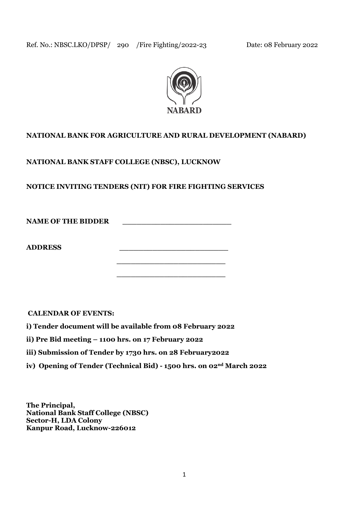

# **NATIONAL BANK FOR AGRICULTURE AND RURAL DEVELOPMENT (NABARD)**

**NATIONAL BANK STAFF COLLEGE (NBSC), LUCKNOW**

**NOTICE INVITING TENDERS (NIT) FOR FIRE FIGHTING SERVICES** 

NAME OF THE BIDDER

 **\_\_\_\_\_\_\_\_\_\_\_\_\_\_\_\_\_\_\_\_\_\_\_**

 **\_\_\_\_\_\_\_\_\_\_\_\_\_\_\_\_\_\_\_\_\_\_\_**

**ADDRESS \_\_\_\_\_\_\_\_\_\_\_\_\_\_\_\_\_\_\_\_\_\_\_**

**CALENDAR OF EVENTS:**

- **i) Tender document will be available from 08 February 2022**
- **ii) Pre Bid meeting – 1100 hrs. on 17 February 2022**
- **iii) Submission of Tender by 1730 hrs. on 28 February2022**
- **iv) Opening of Tender (Technical Bid) - 1500 hrs. on 02nd March 2022**

**The Principal, National Bank Staff College (NBSC) Sector-H, LDA Colony Kanpur Road, Lucknow-226012**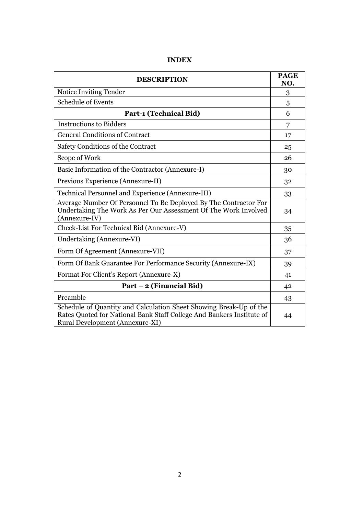| <b>DESCRIPTION</b>                                                                                                                                                             |    |  |
|--------------------------------------------------------------------------------------------------------------------------------------------------------------------------------|----|--|
| Notice Inviting Tender                                                                                                                                                         | 3  |  |
| <b>Schedule of Events</b>                                                                                                                                                      | 5  |  |
| <b>Part-1 (Technical Bid)</b>                                                                                                                                                  | 6  |  |
| <b>Instructions to Bidders</b>                                                                                                                                                 | 7  |  |
| <b>General Conditions of Contract</b>                                                                                                                                          | 17 |  |
| Safety Conditions of the Contract                                                                                                                                              | 25 |  |
| Scope of Work                                                                                                                                                                  | 26 |  |
| Basic Information of the Contractor (Annexure-I)                                                                                                                               | 30 |  |
| Previous Experience (Annexure-II)                                                                                                                                              | 32 |  |
| Technical Personnel and Experience (Annexure-III)                                                                                                                              | 33 |  |
| Average Number Of Personnel To Be Deployed By The Contractor For<br>Undertaking The Work As Per Our Assessment Of The Work Involved<br>(Annexure-IV)                           | 34 |  |
| Check-List For Technical Bid (Annexure-V)                                                                                                                                      | 35 |  |
| Undertaking (Annexure-VI)                                                                                                                                                      | 36 |  |
| Form Of Agreement (Annexure-VII)                                                                                                                                               | 37 |  |
| Form Of Bank Guarantee For Performance Security (Annexure-IX)                                                                                                                  | 39 |  |
| Format For Client's Report (Annexure-X)                                                                                                                                        | 41 |  |
| Part – 2 (Financial Bid)                                                                                                                                                       | 42 |  |
| Preamble                                                                                                                                                                       | 43 |  |
| Schedule of Quantity and Calculation Sheet Showing Break-Up of the<br>Rates Quoted for National Bank Staff College And Bankers Institute of<br>Rural Development (Annexure-XI) | 44 |  |

# **INDEX**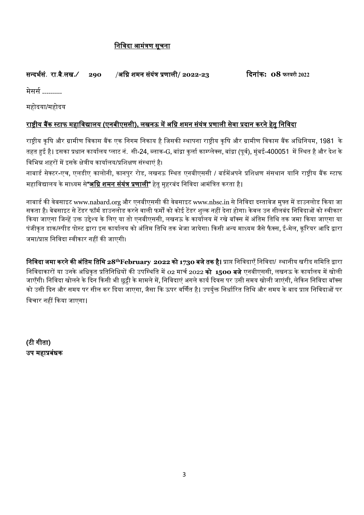# निनिदा आमंत्रण सूचिा

# सन्दर्भसं. रा.बै.लख**./ 290** /अनि शमि संयंत्र प्रणाली**/ 2022-23** ददिांक**: 08 फरवरी 2022**

मेसर्स ..........

महोदया/महोदय

# राष्ट्रीय बैंक स्टाफ महानिद्यालय **(**एिबीएससी**),** लखिऊ में अनि शमि संयंत्र प्रणाली सेिा प्रदाि करिे हेतु निनिदा

राष्टीय कृषि और ग्रामीण विकास बैंक एक निगम निकाय है जिसकी स्थापना राष्ट्रीय कृषि और ग्रामीण विकास बैंक अधिनियम, 1981 के तहत हुई है। इसका प्रधान कार्यालय प्लाट नं. सी-24, ब्लाक-G, बांद्रा कुर्ला काम्प्लेक्स, बांद्रा (पूर्व), मुंबई-400051 में स्थित है और देश के निनर्न्न शहरों में इसके क्षेत्रीय कायाभलय/प्रनशक्षण संस्थाएं है।

नाबार्ड सेक्टर-एच, एलडीए कालोनी, कानपुर रोड, लखनऊ स्थित एनबीएससी / बर्डमेंअपने प्रशिक्षण संसथान यानि राष्ट्रीय बैंक स्टाफ महानिद्यालय के माध्यम से**"**अनि शमि संयंत्र प्रणाली**"** हेतु मुहरबंद निनिदा आमंनत्रत करता है।

नाबार्ड की वेबसाइट www.nabard.org और एनबीएससी की वेबसाइट www.nbsc.in से निविदा दस्तावेज मुफ्त में डाउनलोड किया जा सकता है। वेबसाइट से टेंडर फॉर्म डाउनलोड करने वाली फर्मों को कोई टेंडर शुल्क नहीं देना होगा। केवल उन सीलबंद निविदाओं को स्वीकार किया जाएगा जिन्हें उक्त उद्देश्य के लिए या तो एनबीएससी, लखनऊ के कार्यालय में रखे बॉक्स में अंतिम तिथि तक जमा किया जाएगा या पंजीकृत डाक/स्पीड पोस्ट द्वारा इस कार्यालय को अंतिम तिथि तक भेजा जायेगा। किसी अन्य माध्यम जैसे फैक्स, ई-मेल, कूरियर आदि द्वारा जमा/प्राप्त निविदा स्वीकार नहीं की जाएगी।

निनिदा िमा करिे की अंनतम नतनथ **28thFebruary 2022** को **1730** बिे तक है**।** प्राप्त निनिदाएँ निनिदा/ स्थािीय खरीद सनमनत द्वारा निविदाकारों या उनके अधिकृत प्रतिनिधियों की उपस्थिति में 02 मार्च 2022 **को 1500 बजे** एनबीएससी, लखनऊ के कार्यालय में खोली जाएँगी। निविदा खोलने के दिन किसी भी छुट्टी के मामले में, निविदाएं अगले कार्य दिवस पर उसी समय खोली जाएंगी, लेकिन निविदा बॉक्स को उसी दिन और समय पर सील कर दिया जाएगा, जैसा कि ऊपर वर्णित है। उपर्युक्त निर्धारित तिथि और समय के बाद प्राप्त निविदाओं पर विचार नहीं किया जाएगा।

**(**टी गीता**)** उप महाप्रबंधक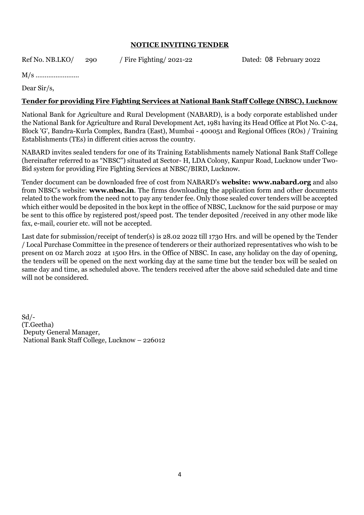#### **NOTICE INVITING TENDER**

Ref No. NB.LKO/ 290 / Fire Fighting/ 2021-22 Dated: 08 February 2022

M/s ……………………

Dear Sir/s,

#### **Tender for providing Fire Fighting Services at National Bank Staff College (NBSC), Lucknow**

National Bank for Agriculture and Rural Development (NABARD), is a body corporate established under the National Bank for Agriculture and Rural Development Act, 1981 having its Head Office at Plot No. C-24, Block 'G', Bandra-Kurla Complex, Bandra (East), Mumbai - 400051 and Regional Offices (ROs) / Training Establishments (TEs) in different cities across the country.

NABARD invites sealed tenders for one of its Training Establishments namely National Bank Staff College (hereinafter referred to as "NBSC") situated at Sector- H, LDA Colony, Kanpur Road, Lucknow under Two-Bid system for providing Fire Fighting Services at NBSC/BIRD, Lucknow.

Tender document can be downloaded free of cost from NABARD's **website: www.nabard.org** and also from NBSC's website: **www.nbsc.in**. The firms downloading the application form and other documents related to the work from the need not to pay any tender fee. Only those sealed cover tenders will be accepted which either would be deposited in the box kept in the office of NBSC, Lucknow for the said purpose or may be sent to this office by registered post/speed post. The tender deposited /received in any other mode like fax, e-mail, courier etc. will not be accepted.

Last date for submission/receipt of tender(s) is 28.02 2022 till 1730 Hrs. and will be opened by the Tender / Local Purchase Committee in the presence of tenderers or their authorized representatives who wish to be present on 02 March 2022 at 1500 Hrs. in the Office of NBSC. In case, any holiday on the day of opening, the tenders will be opened on the next working day at the same time but the tender box will be sealed on same day and time, as scheduled above. The tenders received after the above said scheduled date and time will not be considered.

Sd/- (T.Geetha) Deputy General Manager, National Bank Staff College, Lucknow – 226012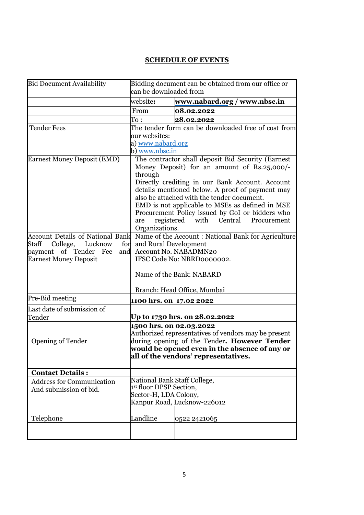# **SCHEDULE OF EVENTS**

| <b>Bid Document Availability</b>        | Bidding document can be obtained from our office or<br>can be downloaded from |                                                                                                   |  |
|-----------------------------------------|-------------------------------------------------------------------------------|---------------------------------------------------------------------------------------------------|--|
|                                         | website:                                                                      | www.nabard.org / www.nbsc.in                                                                      |  |
|                                         | From                                                                          | 08.02.2022                                                                                        |  |
|                                         | $\mathrm{To}:\ \;$                                                            | 28.02.2022                                                                                        |  |
| <b>Tender Fees</b>                      |                                                                               | The tender form can be downloaded free of cost from                                               |  |
|                                         | our websites:                                                                 |                                                                                                   |  |
|                                         | a) <u>www.nabard.org</u>                                                      |                                                                                                   |  |
|                                         | b) www.nbsc.in                                                                |                                                                                                   |  |
| <b>Earnest Money Deposit (EMD)</b>      | through                                                                       | The contractor shall deposit Bid Security (Earnest<br>Money Deposit) for an amount of Rs.25,000/- |  |
|                                         |                                                                               | Directly crediting in our Bank Account. Account                                                   |  |
|                                         |                                                                               | details mentioned below. A proof of payment may<br>also be attached with the tender document.     |  |
|                                         |                                                                               | EMD is not applicable to MSEs as defined in MSE                                                   |  |
|                                         |                                                                               | Procurement Policy issued by GoI or bidders who                                                   |  |
|                                         | are                                                                           | registered<br>with Central Procurement                                                            |  |
|                                         | Organizations.                                                                |                                                                                                   |  |
| <b>Account Details of National Bank</b> |                                                                               | Name of the Account: National Bank for Agriculture                                                |  |
| Staff<br>College,<br>Lucknow            | for<br>and Rural Development                                                  |                                                                                                   |  |
| payment of Tender Fee<br>and            |                                                                               | Account No. NABADMN20                                                                             |  |
| <b>Earnest Money Deposit</b>            |                                                                               | IFSC Code No: NBRD0000002.                                                                        |  |
|                                         |                                                                               | Name of the Bank: NABARD                                                                          |  |
|                                         |                                                                               | Branch: Head Office, Mumbai                                                                       |  |
| Pre-Bid meeting                         | <b>1100 hrs. on 17.02 2022</b>                                                |                                                                                                   |  |
| Last date of submission of              |                                                                               |                                                                                                   |  |
| Tender                                  |                                                                               | Up to 1730 hrs. on 28.02.2022                                                                     |  |
|                                         | 1500 hrs. on 02.03.2022                                                       |                                                                                                   |  |
|                                         |                                                                               | Authorized representatives of vendors may be present                                              |  |
| <b>Opening of Tender</b>                |                                                                               | during opening of the Tender. However Tender                                                      |  |
|                                         |                                                                               | would be opened even in the absence of any or<br>all of the vendors' representatives.             |  |
|                                         |                                                                               |                                                                                                   |  |
| <b>Contact Details:</b>                 |                                                                               |                                                                                                   |  |
| <b>Address for Communication</b>        | National Bank Staff College,                                                  |                                                                                                   |  |
| And submission of bid.                  | 1st floor DPSP Section,                                                       |                                                                                                   |  |
|                                         | Sector-H, LDA Colony,                                                         |                                                                                                   |  |
|                                         |                                                                               | Kanpur Road, Lucknow-226012                                                                       |  |
| Telephone                               | Landline                                                                      | 0522 2421065                                                                                      |  |
|                                         |                                                                               |                                                                                                   |  |
|                                         |                                                                               |                                                                                                   |  |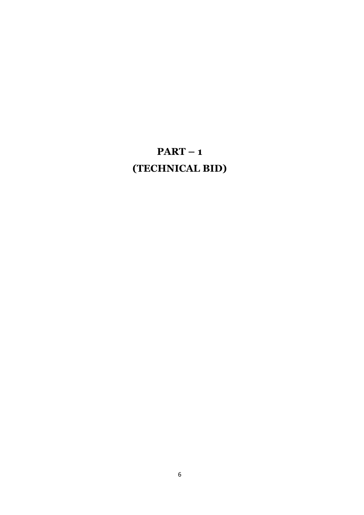# **PART – 1 (TECHNICAL BID)**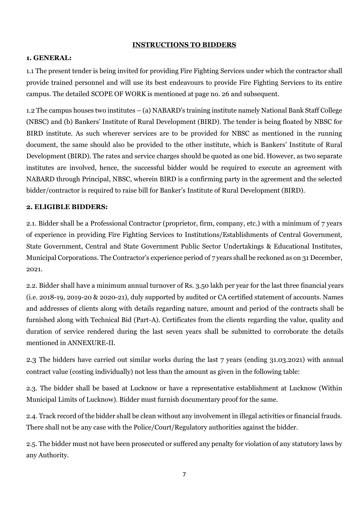#### **INSTRUCTIONS TO BIDDERS**

#### **1. GENERAL:**

1.1 The present tender is being invited for providing Fire Fighting Services under which the contractor shall provide trained personnel and will use its best endeavours to provide Fire Fighting Services to its entire campus. The detailed SCOPE OF WORK is mentioned at page no. 26 and subsequent.

1.2 The campus houses two institutes – (a) NABARD's training institute namely National Bank Staff College (NBSC) and (b) Bankers' Institute of Rural Development (BIRD). The tender is being floated by NBSC for BIRD institute. As such wherever services are to be provided for NBSC as mentioned in the running document, the same should also be provided to the other institute, which is Bankers' Institute of Rural Development (BIRD). The rates and service charges should be quoted as one bid. However, as two separate institutes are involved, hence, the successful bidder would be required to execute an agreement with NABARD through Principal, NBSC, wherein BIRD is a confirming party in the agreement and the selected bidder/contractor is required to raise bill for Banker's Institute of Rural Development (BIRD).

#### **2. ELIGIBLE BIDDERS:**

2.1. Bidder shall be a Professional Contractor (proprietor, firm, company, etc.) with a minimum of 7 years of experience in providing Fire Fighting Services to Institutions/Establishments of Central Government, State Government, Central and State Government Public Sector Undertakings & Educational Institutes, Municipal Corporations. The Contractor's experience period of 7 years shall be reckoned as on 31 December, 2021.

2.2. Bidder shall have a minimum annual turnover of Rs. 3.50 lakh per year for the last three financial years (i.e. 2018-19, 2019-20 & 2020-21), duly supported by audited or CA certified statement of accounts. Names and addresses of clients along with details regarding nature, amount and period of the contracts shall be furnished along with Technical Bid (Part-A). Certificates from the clients regarding the value, quality and duration of service rendered during the last seven years shall be submitted to corroborate the details mentioned in ANNEXURE-II.

2.3 The bidders have carried out similar works during the last 7 years (ending 31.03.2021) with annual contract value (costing individually) not less than the amount as given in the following table:

2.3. The bidder shall be based at Lucknow or have a representative establishment at Lucknow (Within Municipal Limits of Lucknow). Bidder must furnish documentary proof for the same.

2.4. Track record of the bidder shall be clean without any involvement in illegal activities or financial frauds. There shall not be any case with the Police/Court/Regulatory authorities against the bidder.

2.5. The bidder must not have been prosecuted or suffered any penalty for violation of any statutory laws by any Authority.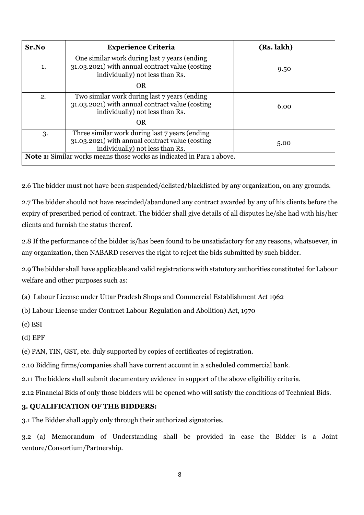| Sr.No                                                                        | <b>Experience Criteria</b>                                                                                                           | (Rs. lakh) |  |
|------------------------------------------------------------------------------|--------------------------------------------------------------------------------------------------------------------------------------|------------|--|
| 1.                                                                           | One similar work during last 7 years (ending<br>31.03.2021) with annual contract value (costing<br>individually) not less than Rs.   | 9.50       |  |
|                                                                              | <b>OR</b>                                                                                                                            |            |  |
| 2.                                                                           | Two similar work during last 7 years (ending<br>31.03.2021) with annual contract value (costing<br>individually) not less than Rs.   | 6.00       |  |
|                                                                              | <b>OR</b>                                                                                                                            |            |  |
| 3.                                                                           | Three similar work during last 7 years (ending<br>31.03.2021) with annual contract value (costing<br>individually) not less than Rs. | 5.00       |  |
| <b>Note 1:</b> Similar works means those works as indicated in Para 1 above. |                                                                                                                                      |            |  |

2.6 The bidder must not have been suspended/delisted/blacklisted by any organization, on any grounds.

2.7 The bidder should not have rescinded/abandoned any contract awarded by any of his clients before the expiry of prescribed period of contract. The bidder shall give details of all disputes he/she had with his/her clients and furnish the status thereof.

2.8 If the performance of the bidder is/has been found to be unsatisfactory for any reasons, whatsoever, in any organization, then NABARD reserves the right to reject the bids submitted by such bidder.

2.9 The bidder shall have applicable and valid registrations with statutory authorities constituted for Labour welfare and other purposes such as:

(a) Labour License under Uttar Pradesh Shops and Commercial Establishment Act 1962

(b) Labour License under Contract Labour Regulation and Abolition) Act, 1970

(c) ESI

(d) EPF

(e) PAN, TIN, GST, etc. duly supported by copies of certificates of registration.

2.10 Bidding firms/companies shall have current account in a scheduled commercial bank.

2.11 The bidders shall submit documentary evidence in support of the above eligibility criteria.

2.12 Financial Bids of only those bidders will be opened who will satisfy the conditions of Technical Bids.

#### **3. QUALIFICATION OF THE BIDDERS:**

3.1 The Bidder shall apply only through their authorized signatories.

3.2 (a) Memorandum of Understanding shall be provided in case the Bidder is a Joint venture/Consortium/Partnership.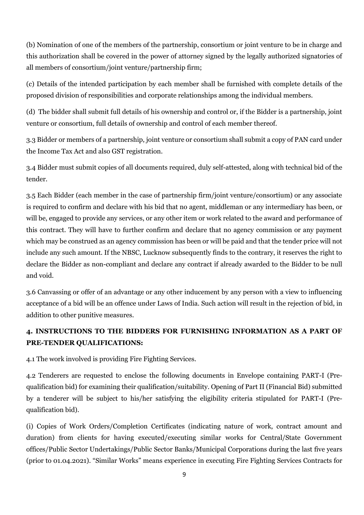(b) Nomination of one of the members of the partnership, consortium or joint venture to be in charge and this authorization shall be covered in the power of attorney signed by the legally authorized signatories of all members of consortium/joint venture/partnership firm;

(c) Details of the intended participation by each member shall be furnished with complete details of the proposed division of responsibilities and corporate relationships among the individual members.

(d) The bidder shall submit full details of his ownership and control or, if the Bidder is a partnership, joint venture or consortium, full details of ownership and control of each member thereof.

3.3 Bidder or members of a partnership, joint venture or consortium shall submit a copy of PAN card under the Income Tax Act and also GST registration.

3.4 Bidder must submit copies of all documents required, duly self-attested, along with technical bid of the tender.

3.5 Each Bidder (each member in the case of partnership firm/joint venture/consortium) or any associate is required to confirm and declare with his bid that no agent, middleman or any intermediary has been, or will be, engaged to provide any services, or any other item or work related to the award and performance of this contract. They will have to further confirm and declare that no agency commission or any payment which may be construed as an agency commission has been or will be paid and that the tender price will not include any such amount. If the NBSC, Lucknow subsequently finds to the contrary, it reserves the right to declare the Bidder as non-compliant and declare any contract if already awarded to the Bidder to be null and void.

3.6 Canvassing or offer of an advantage or any other inducement by any person with a view to influencing acceptance of a bid will be an offence under Laws of India. Such action will result in the rejection of bid, in addition to other punitive measures.

# **4. INSTRUCTIONS TO THE BIDDERS FOR FURNISHING INFORMATION AS A PART OF PRE-TENDER QUALIFICATIONS:**

4.1 The work involved is providing Fire Fighting Services.

4.2 Tenderers are requested to enclose the following documents in Envelope containing PART-I (Prequalification bid) for examining their qualification/suitability. Opening of Part II (Financial Bid) submitted by a tenderer will be subject to his/her satisfying the eligibility criteria stipulated for PART-I (Prequalification bid).

(i) Copies of Work Orders/Completion Certificates (indicating nature of work, contract amount and duration) from clients for having executed/executing similar works for Central/State Government offices/Public Sector Undertakings/Public Sector Banks/Municipal Corporations during the last five years (prior to 01.04.2021). "Similar Works" means experience in executing Fire Fighting Services Contracts for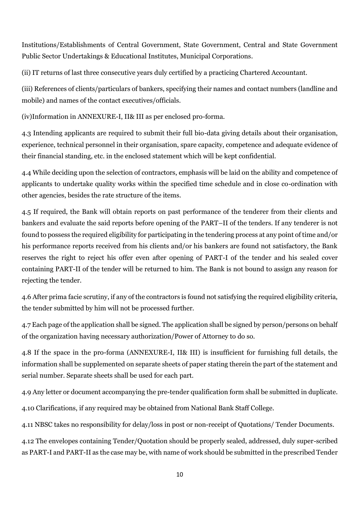Institutions/Establishments of Central Government, State Government, Central and State Government Public Sector Undertakings & Educational Institutes, Municipal Corporations.

(ii) IT returns of last three consecutive years duly certified by a practicing Chartered Accountant.

(iii) References of clients/particulars of bankers, specifying their names and contact numbers (landline and mobile) and names of the contact executives/officials.

(iv)Information in ANNEXURE-I, II& III as per enclosed pro-forma.

4.3 Intending applicants are required to submit their full bio-data giving details about their organisation, experience, technical personnel in their organisation, spare capacity, competence and adequate evidence of their financial standing, etc. in the enclosed statement which will be kept confidential.

4.4 While deciding upon the selection of contractors, emphasis will be laid on the ability and competence of applicants to undertake quality works within the specified time schedule and in close co-ordination with other agencies, besides the rate structure of the items.

4.5 If required, the Bank will obtain reports on past performance of the tenderer from their clients and bankers and evaluate the said reports before opening of the PART–II of the tenders. If any tenderer is not found to possess the required eligibility for participating in the tendering process at any point of time and/or his performance reports received from his clients and/or his bankers are found not satisfactory, the Bank reserves the right to reject his offer even after opening of PART-I of the tender and his sealed cover containing PART-II of the tender will be returned to him. The Bank is not bound to assign any reason for rejecting the tender.

4.6 After prima facie scrutiny, if any of the contractors is found not satisfying the required eligibility criteria, the tender submitted by him will not be processed further.

4.7 Each page of the application shall be signed. The application shall be signed by person/persons on behalf of the organization having necessary authorization/Power of Attorney to do so.

4.8 If the space in the pro-forma (ANNEXURE-I, II& III) is insufficient for furnishing full details, the information shall be supplemented on separate sheets of paper stating therein the part of the statement and serial number. Separate sheets shall be used for each part.

4.9 Any letter or document accompanying the pre-tender qualification form shall be submitted in duplicate.

4.10 Clarifications, if any required may be obtained from National Bank Staff College.

4.11 NBSC takes no responsibility for delay/loss in post or non-receipt of Quotations/ Tender Documents.

4.12 The envelopes containing Tender/Quotation should be properly sealed, addressed, duly super-scribed as PART-I and PART-II as the case may be, with name of work should be submitted in the prescribed Tender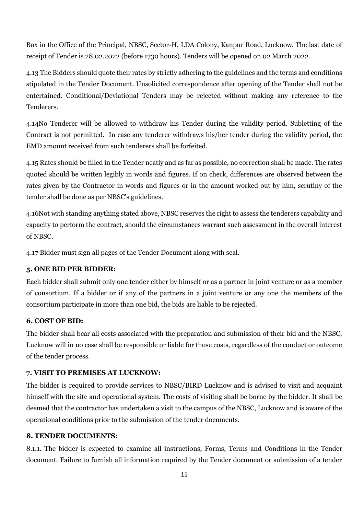Box in the Office of the Principal, NBSC, Sector-H, LDA Colony, Kanpur Road, Lucknow. The last date of receipt of Tender is 28.02.2022 (before 1730 hours). Tenders will be opened on 02 March 2022.

4.13 The Bidders should quote their rates by strictly adhering to the guidelines and the terms and conditions stipulated in the Tender Document. Unsolicited correspondence after opening of the Tender shall not be entertained. Conditional/Deviational Tenders may be rejected without making any reference to the Tenderers.

4.14No Tenderer will be allowed to withdraw his Tender during the validity period. Subletting of the Contract is not permitted. In case any tenderer withdraws his/her tender during the validity period, the EMD amount received from such tenderers shall be forfeited.

4.15 Rates should be filled in the Tender neatly and as far as possible, no correction shall be made. The rates quoted should be written legibly in words and figures. If on check, differences are observed between the rates given by the Contractor in words and figures or in the amount worked out by him, scrutiny of the tender shall be done as per NBSC's guidelines.

4.16Not with standing anything stated above, NBSC reserves the right to assess the tenderers capability and capacity to perform the contract, should the circumstances warrant such assessment in the overall interest of NBSC.

4.17 Bidder must sign all pages of the Tender Document along with seal.

#### **5. ONE BID PER BIDDER:**

Each bidder shall submit only one tender either by himself or as a partner in joint venture or as a member of consortium. If a bidder or if any of the partners in a joint venture or any one the members of the consortium participate in more than one bid, the bids are liable to be rejected.

#### **6. COST OF BID:**

The bidder shall bear all costs associated with the preparation and submission of their bid and the NBSC, Lucknow will in no case shall be responsible or liable for those costs, regardless of the conduct or outcome of the tender process.

#### **7. VISIT TO PREMISES AT LUCKNOW:**

The bidder is required to provide services to NBSC/BIRD Lucknow and is advised to visit and acquaint himself with the site and operational system. The costs of visiting shall be borne by the bidder. It shall be deemed that the contractor has undertaken a visit to the campus of the NBSC, Lucknow and is aware of the operational conditions prior to the submission of the tender documents.

#### **8. TENDER DOCUMENTS:**

8.1.1. The bidder is expected to examine all instructions, Forms, Terms and Conditions in the Tender document. Failure to furnish all information required by the Tender document or submission of a tender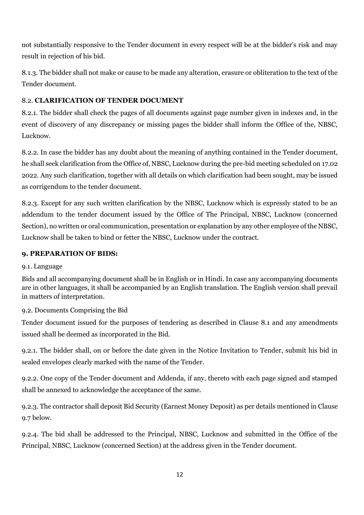not substantially responsive to the Tender document in every respect will be at the bidder's risk and may result in rejection of his bid.

8.1.3. The bidder shall not make or cause to be made any alteration, erasure or obliteration to the text of the Tender document.

# 8.2. **CLARIFICATION OF TENDER DOCUMENT**

8.2.1. The bidder shall check the pages of all documents against page number given in indexes and, in the event of discovery of any discrepancy or missing pages the bidder shall inform the Office of the, NBSC, Lucknow.

8.2.2. In case the bidder has any doubt about the meaning of anything contained in the Tender document, he shall seek clarification from the Office of, NBSC, Lucknow during the pre-bid meeting scheduled on 17.02 2022. Any such clarification, together with all details on which clarification had been sought, may be issued as corrigendum to the tender document.

8.2.3. Except for any such written clarification by the NBSC, Lucknow which is expressly stated to be an addendum to the tender document issued by the Office of The Principal, NBSC, Lucknow (concerned Section), no written or oral communication, presentation or explanation by any other employee of the NBSC, Lucknow shall be taken to bind or fetter the NBSC, Lucknow under the contract.

# **9. PREPARATION OF BIDS:**

# 9.1. Language

Bids and all accompanying document shall be in English or in Hindi. In case any accompanying documents are in other languages, it shall be accompanied by an English translation. The English version shall prevail in matters of interpretation.

# 9.2. Documents Comprising the Bid

Tender document issued for the purposes of tendering as described in Clause 8.1 and any amendments issued shall be deemed as incorporated in the Bid.

9.2.1. The bidder shall, on or before the date given in the Notice Invitation to Tender, submit his bid in sealed envelopes clearly marked with the name of the Tender.

9.2.2. One copy of the Tender document and Addenda, if any, thereto with each page signed and stamped shall be annexed to acknowledge the acceptance of the same.

9.2.3. The contractor shall deposit Bid Security (Earnest Money Deposit) as per details mentioned in Clause 9.7 below.

9.2.4. The bid shall be addressed to the Principal, NBSC, Lucknow and submitted in the Office of the Principal, NBSC, Lucknow (concerned Section) at the address given in the Tender document.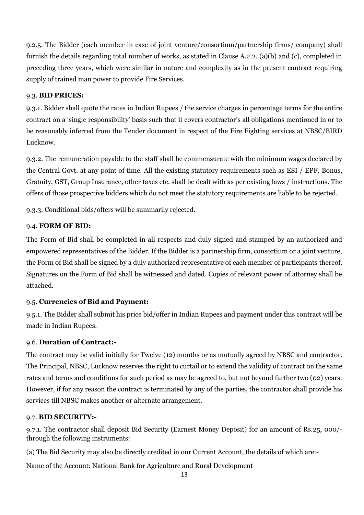9.2.5. The Bidder (each member in case of joint venture/consortium/partnership firms/ company) shall furnish the details regarding total number of works, as stated in Clause A.2.2. (a)(b) and (c), completed in preceding three years, which were similar in nature and complexity as in the present contract requiring supply of trained man power to provide Fire Services.

#### 9.3. **BID PRICES:**

9.3.1. Bidder shall quote the rates in Indian Rupees / the service charges in percentage terms for the entire contract on a 'single responsibility' basis such that it covers contractor's all obligations mentioned in or to be reasonably inferred from the Tender document in respect of the Fire Fighting services at NBSC/BIRD Lucknow.

9.3.2. The remuneration payable to the staff shall be commensurate with the minimum wages declared by the Central Govt. at any point of time. All the existing statutory requirements such as ESI / EPF, Bonus, Gratuity, GST, Group Insurance, other taxes etc. shall be dealt with as per existing laws / instructions. The offers of those prospective bidders which do not meet the statutory requirements are liable to be rejected.

9.3.3. Conditional bids/offers will be summarily rejected.

#### 9.4. **FORM OF BID:**

The Form of Bid shall be completed in all respects and duly signed and stamped by an authorized and empowered representatives of the Bidder. If the Bidder is a partnership firm, consortium or a joint venture, the Form of Bid shall be signed by a duly authorized representative of each member of participants thereof. Signatures on the Form of Bid shall be witnessed and dated. Copies of relevant power of attorney shall be attached.

#### 9.5. **Currencies of Bid and Payment:**

9.5.1. The Bidder shall submit his price bid/offer in Indian Rupees and payment under this contract will be made in Indian Rupees.

#### 9.6. **Duration of Contract:-**

The contract may be valid initially for Twelve (12) months or as mutually agreed by NBSC and contractor. The Principal, NBSC, Lucknow reserves the right to curtail or to extend the validity of contract on the same rates and terms and conditions for such period as may be agreed to, but not beyond further two (02) years. However, if for any reason the contract is terminated by any of the parties, the contractor shall provide his services till NBSC makes another or alternate arrangement.

#### 9.7. **BID SECURITY:-**

9.7.1. The contractor shall deposit Bid Security (Earnest Money Deposit) for an amount of Rs.25, 000/ through the following instruments:

(a) The Bid Security may also be directly credited in our Current Account, the details of which are:-

Name of the Account: National Bank for Agriculture and Rural Development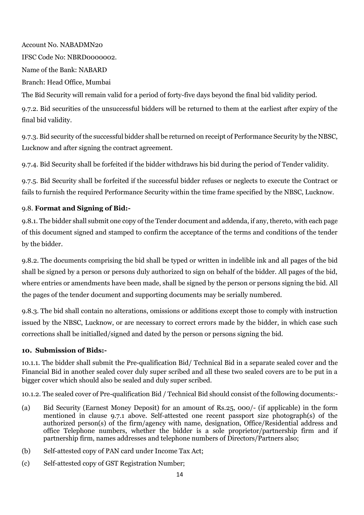Account No. NABADMN20 IFSC Code No: NBRD0000002. Name of the Bank: NABARD Branch: Head Office, Mumbai

The Bid Security will remain valid for a period of forty-five days beyond the final bid validity period.

9.7.2. Bid securities of the unsuccessful bidders will be returned to them at the earliest after expiry of the final bid validity.

9.7.3. Bid security of the successful bidder shall be returned on receipt of Performance Security by the NBSC, Lucknow and after signing the contract agreement.

9.7.4. Bid Security shall be forfeited if the bidder withdraws his bid during the period of Tender validity.

9.7.5. Bid Security shall be forfeited if the successful bidder refuses or neglects to execute the Contract or fails to furnish the required Performance Security within the time frame specified by the NBSC, Lucknow.

# 9.8. **Format and Signing of Bid:-**

9.8.1. The bidder shall submit one copy of the Tender document and addenda, if any, thereto, with each page of this document signed and stamped to confirm the acceptance of the terms and conditions of the tender by the bidder.

9.8.2. The documents comprising the bid shall be typed or written in indelible ink and all pages of the bid shall be signed by a person or persons duly authorized to sign on behalf of the bidder. All pages of the bid, where entries or amendments have been made, shall be signed by the person or persons signing the bid. All the pages of the tender document and supporting documents may be serially numbered.

9.8.3. The bid shall contain no alterations, omissions or additions except those to comply with instruction issued by the NBSC, Lucknow, or are necessary to correct errors made by the bidder, in which case such corrections shall be initialled/signed and dated by the person or persons signing the bid.

#### **10. Submission of Bids:-**

10.1.1. The bidder shall submit the Pre-qualification Bid/ Technical Bid in a separate sealed cover and the Financial Bid in another sealed cover duly super scribed and all these two sealed covers are to be put in a bigger cover which should also be sealed and duly super scribed.

10.1.2. The sealed cover of Pre-qualification Bid / Technical Bid should consist of the following documents:-

- (a) Bid Security (Earnest Money Deposit) for an amount of Rs.25, 000/- (if applicable) in the form mentioned in clause 9.7.1 above. Self-attested one recent passport size photograph(s) of the authorized person(s) of the firm/agency with name, designation, Office/Residential address and office Telephone numbers, whether the bidder is a sole proprietor/partnership firm and if partnership firm, names addresses and telephone numbers of Directors/Partners also;
- (b) Self-attested copy of PAN card under Income Tax Act;
- (c) Self-attested copy of GST Registration Number;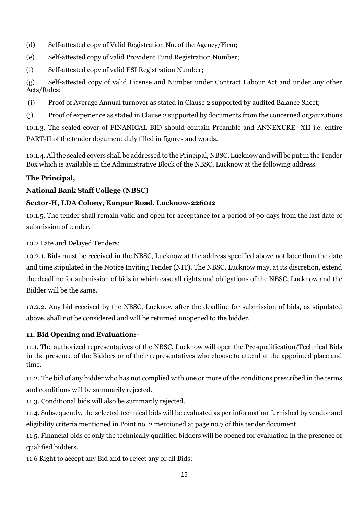- (d) Self-attested copy of Valid Registration No. of the Agency/Firm;
- (e) Self-attested copy of valid Provident Fund Registration Number;
- (f) Self-attested copy of valid ESI Registration Number;

(g) Self-attested copy of valid License and Number under Contract Labour Act and under any other Acts/Rules;

- (i) Proof of Average Annual turnover as stated in Clause 2 supported by audited Balance Sheet;
- (j) Proof of experience as stated in Clause 2 supported by documents from the concerned organizations

10.1.3. The sealed cover of FINANICAL BID should contain Preamble and ANNEXURE- XII i.e. entire PART-II of the tender document duly filled in figures and words.

10.1.4. All the sealed covers shall be addressed to the Principal, NBSC, Lucknow and will be put in the Tender Box which is available in the Administrative Block of the NBSC, Lucknow at the following address.

# **The Principal,**

# **National Bank Staff College (NBSC)**

# **Sector-H, LDA Colony, Kanpur Road, Lucknow-226012**

10.1.5. The tender shall remain valid and open for acceptance for a period of 90 days from the last date of submission of tender.

10.2 Late and Delayed Tenders:

10.2.1. Bids must be received in the NBSC, Lucknow at the address specified above not later than the date and time stipulated in the Notice Inviting Tender (NIT). The NBSC, Lucknow may, at its discretion, extend the deadline for submission of bids in which case all rights and obligations of the NBSC, Lucknow and the Bidder will be the same.

10.2.2. Any bid received by the NBSC, Lucknow after the deadline for submission of bids, as stipulated above, shall not be considered and will be returned unopened to the bidder.

# **11. Bid Opening and Evaluation:-**

11.1. The authorized representatives of the NBSC, Lucknow will open the Pre-qualification/Technical Bids in the presence of the Bidders or of their representatives who choose to attend at the appointed place and time.

11.2. The bid of any bidder who has not complied with one or more of the conditions prescribed in the terms and conditions will be summarily rejected.

11.3. Conditional bids will also be summarily rejected.

11.4. Subsequently, the selected technical bids will be evaluated as per information furnished by vendor and eligibility criteria mentioned in Point no. 2 mentioned at page no.7 of this tender document.

11.5. Financial bids of only the technically qualified bidders will be opened for evaluation in the presence of qualified bidders.

11.6 Right to accept any Bid and to reject any or all Bids:-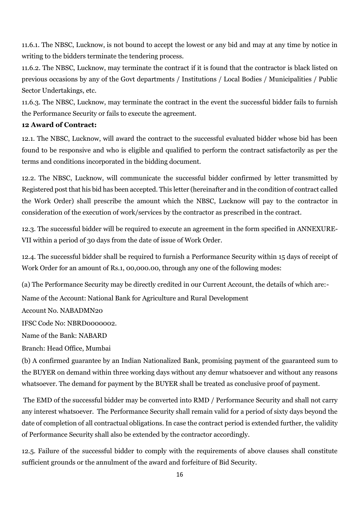11.6.1. The NBSC, Lucknow, is not bound to accept the lowest or any bid and may at any time by notice in writing to the bidders terminate the tendering process.

11.6.2. The NBSC, Lucknow, may terminate the contract if it is found that the contractor is black listed on previous occasions by any of the Govt departments / Institutions / Local Bodies / Municipalities / Public Sector Undertakings, etc.

11.6.3. The NBSC, Lucknow, may terminate the contract in the event the successful bidder fails to furnish the Performance Security or fails to execute the agreement.

#### **12 Award of Contract:**

12.1. The NBSC, Lucknow, will award the contract to the successful evaluated bidder whose bid has been found to be responsive and who is eligible and qualified to perform the contract satisfactorily as per the terms and conditions incorporated in the bidding document.

12.2. The NBSC, Lucknow, will communicate the successful bidder confirmed by letter transmitted by Registered post that his bid has been accepted. This letter (hereinafter and in the condition of contract called the Work Order) shall prescribe the amount which the NBSC, Lucknow will pay to the contractor in consideration of the execution of work/services by the contractor as prescribed in the contract.

12.3. The successful bidder will be required to execute an agreement in the form specified in ANNEXURE-VII within a period of 30 days from the date of issue of Work Order.

12.4. The successful bidder shall be required to furnish a Performance Security within 15 days of receipt of Work Order for an amount of Rs.1, 00,000.00, through any one of the following modes:

(a) The Performance Security may be directly credited in our Current Account, the details of which are:-

Name of the Account: National Bank for Agriculture and Rural Development

Account No. NABADMN20

IFSC Code No: NBRD0000002.

Name of the Bank: NABARD

Branch: Head Office, Mumbai

(b) A confirmed guarantee by an Indian Nationalized Bank, promising payment of the guaranteed sum to the BUYER on demand within three working days without any demur whatsoever and without any reasons whatsoever. The demand for payment by the BUYER shall be treated as conclusive proof of payment.

The EMD of the successful bidder may be converted into RMD / Performance Security and shall not carry any interest whatsoever. The Performance Security shall remain valid for a period of sixty days beyond the date of completion of all contractual obligations. In case the contract period is extended further, the validity of Performance Security shall also be extended by the contractor accordingly.

12.5. Failure of the successful bidder to comply with the requirements of above clauses shall constitute sufficient grounds or the annulment of the award and forfeiture of Bid Security.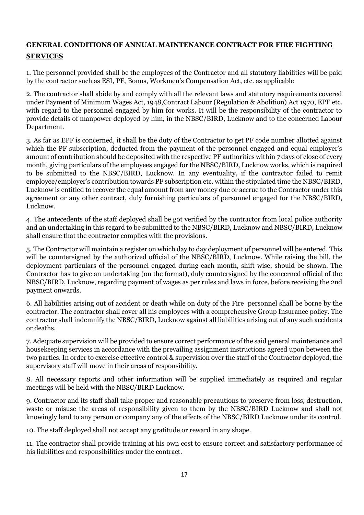# **GENERAL CONDITIONS OF ANNUAL MAINTENANCE CONTRACT FOR FIRE FIGHTING SERVICES**

1. The personnel provided shall be the employees of the Contractor and all statutory liabilities will be paid by the contractor such as ESI, PF, Bonus, Workmen's Compensation Act, etc. as applicable

2. The contractor shall abide by and comply with all the relevant laws and statutory requirements covered under Payment of Minimum Wages Act, 1948,Contract Labour (Regulation & Abolition) Act 1970, EPF etc. with regard to the personnel engaged by him for works. It will be the responsibility of the contractor to provide details of manpower deployed by him, in the NBSC/BIRD, Lucknow and to the concerned Labour Department.

3. As far as EPF is concerned, it shall be the duty of the Contractor to get PF code number allotted against which the PF subscription, deducted from the payment of the personnel engaged and equal employer's amount of contribution should be deposited with the respective PF authorities within 7 days of close of every month, giving particulars of the employees engaged for the NBSC/BIRD, Lucknow works, which is required to be submitted to the NBSC/BIRD, Lucknow. In any eventuality, if the contractor failed to remit employee/employer's contribution towards PF subscription etc. within the stipulated time the NBSC/BIRD, Lucknow is entitled to recover the equal amount from any money due or accrue to the Contractor under this agreement or any other contract, duly furnishing particulars of personnel engaged for the NBSC/BIRD, Lucknow.

4. The antecedents of the staff deployed shall be got verified by the contractor from local police authority and an undertaking in this regard to be submitted to the NBSC/BIRD, Lucknow and NBSC/BIRD, Lucknow shall ensure that the contractor complies with the provisions.

5. The Contractor will maintain a register on which day to day deployment of personnel will be entered. This will be countersigned by the authorized official of the NBSC/BIRD, Lucknow. While raising the bill, the deployment particulars of the personnel engaged during each month, shift wise, should be shown. The Contractor has to give an undertaking (on the format), duly countersigned by the concerned official of the NBSC/BIRD, Lucknow, regarding payment of wages as per rules and laws in force, before receiving the 2nd payment onwards.

6. All liabilities arising out of accident or death while on duty of the Fire personnel shall be borne by the contractor. The contractor shall cover all his employees with a comprehensive Group Insurance policy. The contractor shall indemnify the NBSC/BIRD, Lucknow against all liabilities arising out of any such accidents or deaths.

7. Adequate supervision will be provided to ensure correct performance of the said general maintenance and housekeeping services in accordance with the prevailing assignment instructions agreed upon between the two parties. In order to exercise effective control & supervision over the staff of the Contractor deployed, the supervisory staff will move in their areas of responsibility.

8. All necessary reports and other information will be supplied immediately as required and regular meetings will be held with the NBSC/BIRD Lucknow.

9. Contractor and its staff shall take proper and reasonable precautions to preserve from loss, destruction, waste or misuse the areas of responsibility given to them by the NBSC/BIRD Lucknow and shall not knowingly lend to any person or company any of the effects of the NBSC/BIRD Lucknow under its control.

10. The staff deployed shall not accept any gratitude or reward in any shape.

11. The contractor shall provide training at his own cost to ensure correct and satisfactory performance of his liabilities and responsibilities under the contract.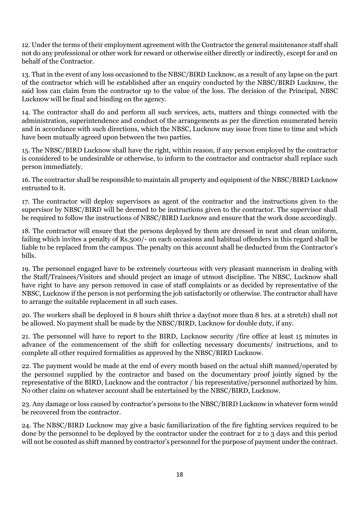12. Under the terms of their employment agreement with the Contractor the general maintenance staff shall not do any professional or other work for reward or otherwise either directly or indirectly, except for and on behalf of the Contractor.

13. That in the event of any loss occasioned to the NBSC/BIRD Lucknow, as a result of any lapse on the part of the contractor which will be established after an enquiry conducted by the NBSC/BIRD Lucknow, the said loss can claim from the contractor up to the value of the loss. The decision of the Principal, NBSC Lucknow will be final and binding on the agency.

14. The contractor shall do and perform all such services, acts, matters and things connected with the administration, superintendence and conduct of the arrangements as per the direction enumerated herein and in accordance with such directions, which the NBSC, Lucknow may issue from time to time and which have been mutually agreed upon between the two parties.

15. The NBSC/BIRD Lucknow shall have the right, within reason, if any person employed by the contractor is considered to be undesirable or otherwise, to inform to the contractor and contractor shall replace such person immediately.

16. The contractor shall be responsible to maintain all property and equipment of the NBSC/BIRD Lucknow entrusted to it.

17. The contractor will deploy supervisors as agent of the contractor and the instructions given to the supervisor by NBSC/BIRD will be deemed to be instructions given to the contractor. The supervisor shall be required to follow the instructions of NBSC/BIRD Lucknow and ensure that the work done accordingly.

18. The contractor will ensure that the persons deployed by them are dressed in neat and clean uniform, failing which invites a penalty of Rs.500/- on each occasions and habitual offenders in this regard shall be liable to be replaced from the campus. The penalty on this account shall be deducted from the Contractor's bills.

19. The personnel engaged have to be extremely courteous with very pleasant mannerism in dealing with the Staff/Trainees/Visitors and should project an image of utmost discipline. The NBSC, Lucknow shall have right to have any person removed in case of staff complaints or as decided by representative of the NBSC, Lucknow if the person is not performing the job satisfactorily or otherwise. The contractor shall have to arrange the suitable replacement in all such cases.

20. The workers shall be deployed in 8 hours shift thrice a day(not more than 8 hrs. at a stretch) shall not be allowed. No payment shall be made by the NBSC/BIRD, Lucknow for double duty, if any.

21. The personnel will have to report to the BIRD, Lucknow security /fire office at least 15 minutes in advance of the commencement of the shift for collecting necessary documents/ instructions, and to complete all other required formalities as approved by the NBSC/BIRD Lucknow.

22. The payment would be made at the end of every month based on the actual shift manned/operated by the personnel supplied by the contractor and based on the documentary proof jointly signed by the representative of the BIRD, Lucknow and the contractor / his representative/personnel authorized by him. No other claim on whatever account shall be entertained by the NBSC/BIRD, Lucknow.

23. Any damage or loss caused by contractor's persons to the NBSC/BIRD Lucknow in whatever form would be recovered from the contractor.

24. The NBSC/BIRD Lucknow may give a basic familiarization of the fire fighting services required to be done by the personnel to be deployed by the contractor under the contract for 2 to 3 days and this period will not be counted as shift manned by contractor's personnel for the purpose of payment under the contract.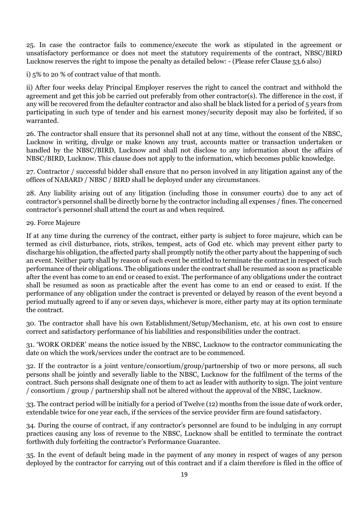25. In case the contractor fails to commence/execute the work as stipulated in the agreement or unsatisfactory performance or does not meet the statutory requirements of the contract, NBSC/BIRD Lucknow reserves the right to impose the penalty as detailed below: - (Please refer Clause 53.6 also)

i) 5% to 20 % of contract value of that month.

ii) After four weeks delay Principal Employer reserves the right to cancel the contract and withhold the agreement and get this job be carried out preferably from other contractor(s). The difference in the cost, if any will be recovered from the defaulter contractor and also shall be black listed for a period of 5 years from participating in such type of tender and his earnest money/security deposit may also be forfeited, if so warranted.

26. The contractor shall ensure that its personnel shall not at any time, without the consent of the NBSC, Lucknow in writing, divulge or make known any trust, accounts matter or transaction undertaken or handled by the NBSC/BIRD, Lucknow and shall not disclose to any information about the affairs of NBSC/BIRD, Lucknow. This clause does not apply to the information, which becomes public knowledge.

27. Contractor / successful bidder shall ensure that no person involved in any litigation against any of the offices of NABARD / NBSC / BIRD shall be deployed under any circumstances.

28. Any liability arising out of any litigation (including those in consumer courts) due to any act of contractor's personnel shall be directly borne by the contractor including all expenses / fines. The concerned contractor's personnel shall attend the court as and when required.

#### 29. Force Majeure

If at any time during the currency of the contract, either party is subject to force majeure, which can be termed as civil disturbance, riots, strikes, tempest, acts of God etc. which may prevent either party to discharge his obligation, the affected party shall promptly notify the other party about the happening of such an event. Neither party shall by reason of such event be entitled to terminate the contract in respect of such performance of their obligations. The obligations under the contract shall be resumed as soon as practicable after the event has come to an end or ceased to exist. The performance of any obligations under the contract shall be resumed as soon as practicable after the event has come to an end or ceased to exist. If the performance of any obligation under the contract is prevented or delayed by reason of the event beyond a period mutually agreed to if any or seven days, whichever is more, either party may at its option terminate the contract.

30. The contractor shall have his own Establishment/Setup/Mechanism, etc. at his own cost to ensure correct and satisfactory performance of his liabilities and responsibilities under the contract.

31. 'WORK ORDER' means the notice issued by the NBSC, Lucknow to the contractor communicating the date on which the work/services under the contract are to be commenced.

32. If the contractor is a joint venture/consortium/group/partnership of two or more persons, all such persons shall be jointly and severally liable to the NBSC, Lucknow for the fulfilment of the terms of the contract. Such persons shall designate one of them to act as leader with authority to sign. The joint venture / consortium / group / partnership shall not be altered without the approval of the NBSC, Lucknow.

33. The contract period will be initially for a period of Twelve (12) months from the issue date of work order, extendable twice for one year each, if the services of the service provider firm are found satisfactory.

34. During the course of contract, if any contractor's personnel are found to be indulging in any corrupt practices causing any loss of revenue to the NBSC, Lucknow shall be entitled to terminate the contract forthwith duly forfeiting the contractor's Performance Guarantee.

35. In the event of default being made in the payment of any money in respect of wages of any person deployed by the contractor for carrying out of this contract and if a claim therefore is filed in the office of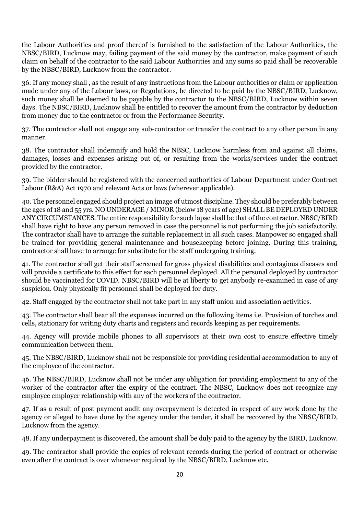the Labour Authorities and proof thereof is furnished to the satisfaction of the Labour Authorities, the NBSC/BIRD, Lucknow may, failing payment of the said money by the contractor, make payment of such claim on behalf of the contractor to the said Labour Authorities and any sums so paid shall be recoverable by the NBSC/BIRD, Lucknow from the contractor.

36. If any money shall , as the result of any instructions from the Labour authorities or claim or application made under any of the Labour laws, or Regulations, be directed to be paid by the NBSC/BIRD, Lucknow, such money shall be deemed to be payable by the contractor to the NBSC/BIRD, Lucknow within seven days. The NBSC/BIRD, Lucknow shall be entitled to recover the amount from the contractor by deduction from money due to the contractor or from the Performance Security.

37. The contractor shall not engage any sub-contractor or transfer the contract to any other person in any manner.

38. The contractor shall indemnify and hold the NBSC, Lucknow harmless from and against all claims, damages, losses and expenses arising out of, or resulting from the works/services under the contract provided by the contractor.

39. The bidder should be registered with the concerned authorities of Labour Department under Contract Labour (R&A) Act 1970 and relevant Acts or laws (wherever applicable).

40. The personnel engaged should project an image of utmost discipline. They should be preferably between the ages of 18 and 55 yrs. NO UNDERAGE / MINOR (below 18 years of age) SHALL BE DEPLOYED UNDER ANY CIRCUMSTANCES. The entire responsibility for such lapse shall be that of the contractor. NBSC/BIRD shall have right to have any person removed in case the personnel is not performing the job satisfactorily. The contractor shall have to arrange the suitable replacement in all such cases. Manpower so engaged shall be trained for providing general maintenance and housekeeping before joining. During this training, contractor shall have to arrange for substitute for the staff undergoing training.

41. The contractor shall get their staff screened for gross physical disabilities and contagious diseases and will provide a certificate to this effect for each personnel deployed. All the personal deployed by contractor should be vaccinated for COVID. NBSC/BIRD will be at liberty to get anybody re-examined in case of any suspicion. Only physically fit personnel shall be deployed for duty.

42. Staff engaged by the contractor shall not take part in any staff union and association activities.

43. The contractor shall bear all the expenses incurred on the following items i.e. Provision of torches and cells, stationary for writing duty charts and registers and records keeping as per requirements.

44. Agency will provide mobile phones to all supervisors at their own cost to ensure effective timely communication between them.

45. The NBSC/BIRD, Lucknow shall not be responsible for providing residential accommodation to any of the employee of the contractor.

46. The NBSC/BIRD, Lucknow shall not be under any obligation for providing employment to any of the worker of the contractor after the expiry of the contract. The NBSC, Lucknow does not recognize any employee employer relationship with any of the workers of the contractor.

47. If as a result of post payment audit any overpayment is detected in respect of any work done by the agency or alleged to have done by the agency under the tender, it shall be recovered by the NBSC/BIRD, Lucknow from the agency.

48. If any underpayment is discovered, the amount shall be duly paid to the agency by the BIRD, Lucknow.

49. The contractor shall provide the copies of relevant records during the period of contract or otherwise even after the contract is over whenever required by the NBSC/BIRD, Lucknow etc.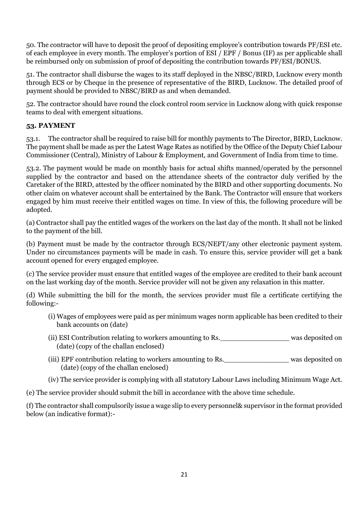50. The contractor will have to deposit the proof of depositing employee's contribution towards PF/ESI etc. of each employee in every month. The employer's portion of ESI / EPF / Bonus (IF) as per applicable shall be reimbursed only on submission of proof of depositing the contribution towards PF/ESI/BONUS.

51. The contractor shall disburse the wages to its staff deployed in the NBSC/BIRD, Lucknow every month through ECS or by Cheque in the presence of representative of the BIRD, Lucknow. The detailed proof of payment should be provided to NBSC/BIRD as and when demanded.

52. The contractor should have round the clock control room service in Lucknow along with quick response teams to deal with emergent situations.

## **53. PAYMENT**

53.1. The contractor shall be required to raise bill for monthly payments to The Director, BIRD, Lucknow. The payment shall be made as per the Latest Wage Rates as notified by the Office of the Deputy Chief Labour Commissioner (Central), Ministry of Labour & Employment, and Government of India from time to time.

53.2. The payment would be made on monthly basis for actual shifts manned/operated by the personnel supplied by the contractor and based on the attendance sheets of the contractor duly verified by the Caretaker of the BIRD, attested by the officer nominated by the BIRD and other supporting documents. No other claim on whatever account shall be entertained by the Bank. The Contractor will ensure that workers engaged by him must receive their entitled wages on time. In view of this, the following procedure will be adopted.

(a) Contractor shall pay the entitled wages of the workers on the last day of the month. It shall not be linked to the payment of the bill.

(b) Payment must be made by the contractor through ECS/NEFT/any other electronic payment system. Under no circumstances payments will be made in cash. To ensure this, service provider will get a bank account opened for every engaged employee.

(c) The service provider must ensure that entitled wages of the employee are credited to their bank account on the last working day of the month. Service provider will not be given any relaxation in this matter.

(d) While submitting the bill for the month, the services provider must file a certificate certifying the following:-

- (i) Wages of employees were paid as per minimum wages norm applicable has been credited to their bank accounts on (date)
- (ii) ESI Contribution relating to workers amounting to Rs.\_\_\_\_\_\_\_\_\_\_\_\_\_\_\_\_ was deposited on (date) (copy of the challan enclosed)
- (iii) EPF contribution relating to workers amounting to Rs.\_\_\_\_\_\_\_\_\_\_\_\_\_\_\_ was deposited on (date) (copy of the challan enclosed)
- (iv) The service provider is complying with all statutory Labour Laws including Minimum Wage Act.

(e) The service provider should submit the bill in accordance with the above time schedule.

(f) The contractor shall compulsorily issue a wage slip to every personnel& supervisor in the format provided below (an indicative format):-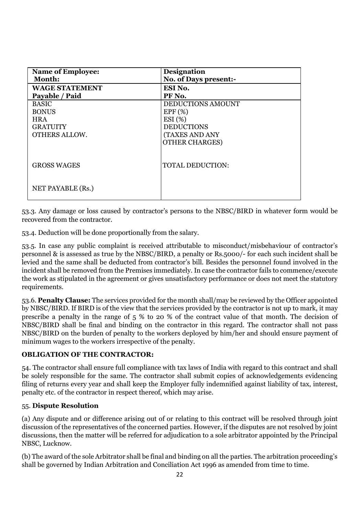| <b>Name of Employee:</b> | Designation                  |
|--------------------------|------------------------------|
| Month:                   | <b>No. of Days present:-</b> |
| <b>WAGE STATEMENT</b>    | ESI No.                      |
| Payable / Paid           | PF No.                       |
| <b>BASIC</b>             | DEDUCTIONS AMOUNT            |
| <b>BONUS</b>             | EPF(%)                       |
| <b>HRA</b>               | ESI(%)                       |
| <b>GRATUITY</b>          | <b>DEDUCTIONS</b>            |
| <b>OTHERS ALLOW.</b>     | (TAXES AND ANY               |
|                          | <b>OTHER CHARGES)</b>        |
|                          |                              |
| <b>GROSS WAGES</b>       | <b>TOTAL DEDUCTION:</b>      |
|                          |                              |
|                          |                              |
| NET PAYABLE (Rs.)        |                              |
|                          |                              |

53.3. Any damage or loss caused by contractor's persons to the NBSC/BIRD in whatever form would be recovered from the contractor.

53.4. Deduction will be done proportionally from the salary.

53.5. In case any public complaint is received attributable to misconduct/misbehaviour of contractor's personnel & is assessed as true by the NBSC/BIRD, a penalty or Rs.5000/- for each such incident shall be levied and the same shall be deducted from contractor's bill. Besides the personnel found involved in the incident shall be removed from the Premises immediately. In case the contractor fails to commence/execute the work as stipulated in the agreement or gives unsatisfactory performance or does not meet the statutory requirements.

53.6. **Penalty Clause:** The services provided for the month shall/may be reviewed by the Officer appointed by NBSC/BIRD. If BIRD is of the view that the services provided by the contractor is not up to mark, it may prescribe a penalty in the range of 5 % to 20 % of the contract value of that month. The decision of NBSC/BIRD shall be final and binding on the contractor in this regard. The contractor shall not pass NBSC/BIRD on the burden of penalty to the workers deployed by him/her and should ensure payment of minimum wages to the workers irrespective of the penalty.

#### **OBLIGATION OF THE CONTRACTOR:**

54. The contractor shall ensure full compliance with tax laws of India with regard to this contract and shall be solely responsible for the same. The contractor shall submit copies of acknowledgements evidencing filing of returns every year and shall keep the Employer fully indemnified against liability of tax, interest, penalty etc. of the contractor in respect thereof, which may arise.

#### 55. **Dispute Resolution**

(a) Any dispute and or difference arising out of or relating to this contract will be resolved through joint discussion of the representatives of the concerned parties. However, if the disputes are not resolved by joint discussions, then the matter will be referred for adjudication to a sole arbitrator appointed by the Principal NBSC, Lucknow.

(b) The award of the sole Arbitrator shall be final and binding on all the parties. The arbitration proceeding's shall be governed by Indian Arbitration and Conciliation Act 1996 as amended from time to time.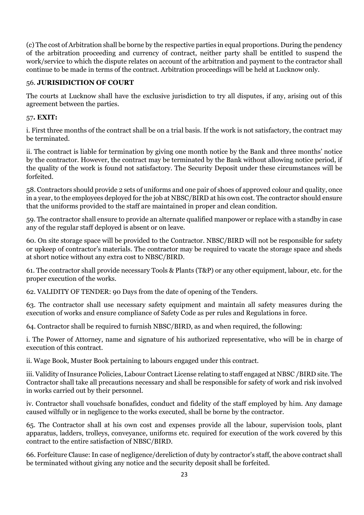(c) The cost of Arbitration shall be borne by the respective parties in equal proportions. During the pendency of the arbitration proceeding and currency of contract, neither party shall be entitled to suspend the work/service to which the dispute relates on account of the arbitration and payment to the contractor shall continue to be made in terms of the contract. Arbitration proceedings will be held at Lucknow only.

#### 56. **JURISIDICTION OF COURT**

The courts at Lucknow shall have the exclusive jurisdiction to try all disputes, if any, arising out of this agreement between the parties.

#### 57**. EXIT:**

i. First three months of the contract shall be on a trial basis. If the work is not satisfactory, the contract may be terminated.

ii. The contract is liable for termination by giving one month notice by the Bank and three months' notice by the contractor. However, the contract may be terminated by the Bank without allowing notice period, if the quality of the work is found not satisfactory. The Security Deposit under these circumstances will be forfeited.

58. Contractors should provide 2 sets of uniforms and one pair of shoes of approved colour and quality, once in a year, to the employees deployed for the job at NBSC/BIRD at his own cost. The contractor should ensure that the uniforms provided to the staff are maintained in proper and clean condition.

59. The contractor shall ensure to provide an alternate qualified manpower or replace with a standby in case any of the regular staff deployed is absent or on leave.

60. On site storage space will be provided to the Contractor. NBSC/BIRD will not be responsible for safety or upkeep of contractor's materials. The contractor may be required to vacate the storage space and sheds at short notice without any extra cost to NBSC/BIRD.

61. The contractor shall provide necessary Tools & Plants (T&P) or any other equipment, labour, etc. for the proper execution of the works.

62. VALIDITY OF TENDER: 90 Days from the date of opening of the Tenders.

63. The contractor shall use necessary safety equipment and maintain all safety measures during the execution of works and ensure compliance of Safety Code as per rules and Regulations in force.

64. Contractor shall be required to furnish NBSC/BIRD, as and when required, the following:

i. The Power of Attorney, name and signature of his authorized representative, who will be in charge of execution of this contract.

ii. Wage Book, Muster Book pertaining to labours engaged under this contract.

iii. Validity of Insurance Policies, Labour Contract License relating to staff engaged at NBSC /BIRD site. The Contractor shall take all precautions necessary and shall be responsible for safety of work and risk involved in works carried out by their personnel.

iv. Contractor shall vouchsafe bonafides, conduct and fidelity of the staff employed by him. Any damage caused wilfully or in negligence to the works executed, shall be borne by the contractor.

65. The Contractor shall at his own cost and expenses provide all the labour, supervision tools, plant apparatus, ladders, trolleys, conveyance, uniforms etc. required for execution of the work covered by this contract to the entire satisfaction of NBSC/BIRD.

66. Forfeiture Clause: In case of negligence/dereliction of duty by contractor's staff, the above contract shall be terminated without giving any notice and the security deposit shall be forfeited.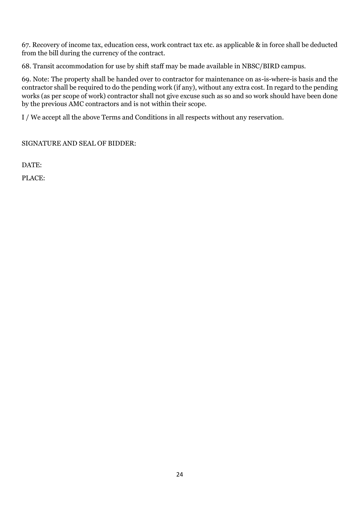67. Recovery of income tax, education cess, work contract tax etc. as applicable & in force shall be deducted from the bill during the currency of the contract.

68. Transit accommodation for use by shift staff may be made available in NBSC/BIRD campus.

69. Note: The property shall be handed over to contractor for maintenance on as-is-where-is basis and the contractor shall be required to do the pending work (if any), without any extra cost. In regard to the pending works (as per scope of work) contractor shall not give excuse such as so and so work should have been done by the previous AMC contractors and is not within their scope.

I / We accept all the above Terms and Conditions in all respects without any reservation.

SIGNATURE AND SEAL OF BIDDER:

DATE:

PLACE: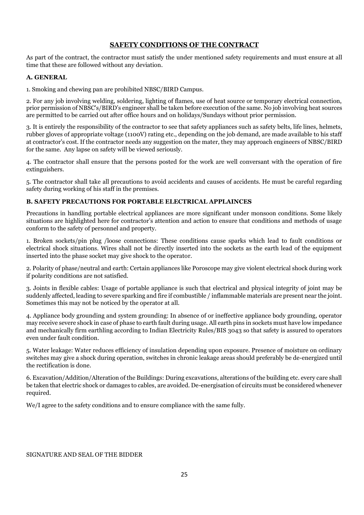#### **SAFETY CONDITIONS OF THE CONTRACT**

As part of the contract, the contractor must satisfy the under mentioned safety requirements and must ensure at all time that these are followed without any deviation.

#### **A. GENERAL**

1. Smoking and chewing pan are prohibited NBSC/BIRD Campus.

2. For any job involving welding, soldering, lighting of flames, use of heat source or temporary electrical connection, prior permission of NBSC's/BIRD's engineer shall be taken before execution of the same. No job involving heat sources are permitted to be carried out after office hours and on holidays/Sundays without prior permission.

3. It is entirely the responsibility of the contractor to see that safety appliances such as safety belts, life lines, helmets, rubber gloves of appropriate voltage (1100V) rating etc., depending on the job demand, are made available to his staff at contractor's cost. If the contractor needs any suggestion on the mater, they may approach engineers of NBSC/BIRD for the same. Any lapse on safety will be viewed seriously.

4. The contractor shall ensure that the persons posted for the work are well conversant with the operation of fire extinguishers.

5. The contractor shall take all precautions to avoid accidents and causes of accidents. He must be careful regarding safety during working of his staff in the premises.

#### **B. SAFETY PRECAUTIONS FOR PORTABLE ELECTRICAL APPLAINCES**

Precautions in handling portable electrical appliances are more significant under monsoon conditions. Some likely situations are highlighted here for contractor's attention and action to ensure that conditions and methods of usage conform to the safety of personnel and property.

1. Broken sockets/pin plug /loose connections: These conditions cause sparks which lead to fault conditions or electrical shock situations. Wires shall not be directly inserted into the sockets as the earth lead of the equipment inserted into the phase socket may give shock to the operator.

2. Polarity of phase/neutral and earth: Certain appliances like Poroscope may give violent electrical shock during work if polarity conditions are not satisfied.

3. Joints in flexible cables: Usage of portable appliance is such that electrical and physical integrity of joint may be suddenly affected, leading to severe sparking and fire if combustible / inflammable materials are present near the joint. Sometimes this may not be noticed by the operator at all.

4. Appliance body grounding and system grounding: In absence of or ineffective appliance body grounding, operator may receive severe shock in case of phase to earth fault during usage. All earth pins in sockets must have low impedance and mechanically firm earthling according to Indian Electricity Rules/BIS 3043 so that safety is assured to operators even under fault condition.

5. Water leakage: Water reduces efficiency of insulation depending upon exposure. Presence of moisture on ordinary switches may give a shock during operation, switches in chronic leakage areas should preferably be de-energized until the rectification is done.

6. Excavation/Addition/Alteration of the Buildings: During excavations, alterations of the building etc. every care shall be taken that electric shock or damages to cables, are avoided. De-energisation of circuits must be considered whenever required.

We/I agree to the safety conditions and to ensure compliance with the same fully.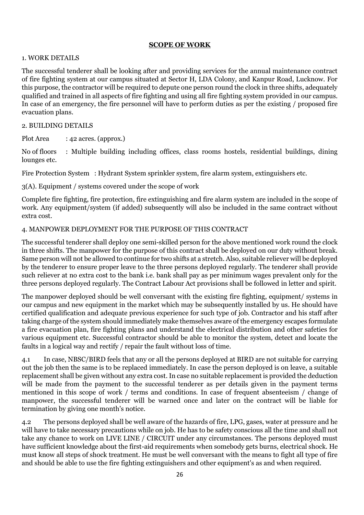#### **SCOPE OF WORK**

#### 1. WORK DETAILS

The successful tenderer shall be looking after and providing services for the annual maintenance contract of fire fighting system at our campus situated at Sector H, LDA Colony, and Kanpur Road, Lucknow. For this purpose, the contractor will be required to depute one person round the clock in three shifts, adequately qualified and trained in all aspects of fire fighting and using all fire fighting system provided in our campus. In case of an emergency, the fire personnel will have to perform duties as per the existing / proposed fire evacuation plans.

#### 2. BUILDING DETAILS

Plot Area : 42 acres. (approx.)

No of floors : Multiple building including offices, class rooms hostels, residential buildings, dining lounges etc.

Fire Protection System : Hydrant System sprinkler system, fire alarm system, extinguishers etc.

3(A). Equipment / systems covered under the scope of work

Complete fire fighting, fire protection, fire extinguishing and fire alarm system are included in the scope of work. Any equipment/system (if added) subsequently will also be included in the same contract without extra cost.

#### 4. MANPOWER DEPLOYMENT FOR THE PURPOSE OF THIS CONTRACT

The successful tenderer shall deploy one semi-skilled person for the above mentioned work round the clock in three shifts. The manpower for the purpose of this contract shall be deployed on our duty without break. Same person will not be allowed to continue for two shifts at a stretch. Also, suitable reliever will be deployed by the tenderer to ensure proper leave to the three persons deployed regularly. The tenderer shall provide such reliever at no extra cost to the bank i.e. bank shall pay as per minimum wages prevalent only for the three persons deployed regularly. The Contract Labour Act provisions shall be followed in letter and spirit.

The manpower deployed should be well conversant with the existing fire fighting, equipment/ systems in our campus and new equipment in the market which may be subsequently installed by us. He should have certified qualification and adequate previous experience for such type of job. Contractor and his staff after taking charge of the system should immediately make themselves aware of the emergency escapes formulate a fire evacuation plan, fire fighting plans and understand the electrical distribution and other safeties for various equipment etc. Successful contractor should be able to monitor the system, detect and locate the faults in a logical way and rectify / repair the fault without loss of time.

4.1 In case, NBSC/BIRD feels that any or all the persons deployed at BIRD are not suitable for carrying out the job then the same is to be replaced immediately. In case the person deployed is on leave, a suitable replacement shall be given without any extra cost. In case no suitable replacement is provided the deduction will be made from the payment to the successful tenderer as per details given in the payment terms mentioned in this scope of work / terms and conditions. In case of frequent absenteeism / change of manpower, the successful tenderer will be warned once and later on the contract will be liable for termination by giving one month's notice.

4.2 The persons deployed shall be well aware of the hazards of fire, LPG, gases, water at pressure and he will have to take necessary precautions while on job. He has to be safety conscious all the time and shall not take any chance to work on LIVE LINE / CIRCUIT under any circumstances. The persons deployed must have sufficient knowledge about the first-aid requirements when somebody gets burns, electrical shock. He must know all steps of shock treatment. He must be well conversant with the means to fight all type of fire and should be able to use the fire fighting extinguishers and other equipment's as and when required.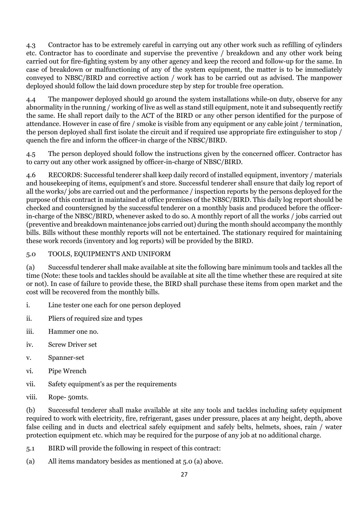4.3 Contractor has to be extremely careful in carrying out any other work such as refilling of cylinders etc. Contractor has to coordinate and supervise the preventive / breakdown and any other work being carried out for fire-fighting system by any other agency and keep the record and follow-up for the same. In case of breakdown or malfunctioning of any of the system equipment, the matter is to be immediately conveyed to NBSC/BIRD and corrective action / work has to be carried out as advised. The manpower deployed should follow the laid down procedure step by step for trouble free operation.

4.4 The manpower deployed should go around the system installations while-on duty, observe for any abnormality in the running / working of live as well as stand still equipment, note it and subsequently rectify the same. He shall report daily to the ACT of the BIRD or any other person identified for the purpose of attendance. However in case of fire / smoke is visible from any equipment or any cable joint / termination, the person deployed shall first isolate the circuit and if required use appropriate fire extinguisher to stop / quench the fire and inform the officer-in charge of the NBSC/BIRD.

4.5 The person deployed should follow the instructions given by the concerned officer. Contractor has to carry out any other work assigned by officer-in-charge of NBSC/BIRD.

4.6 RECORDS: Successful tenderer shall keep daily record of installed equipment, inventory / materials and housekeeping of items, equipment's and store. Successful tenderer shall ensure that daily log report of all the works/ jobs are carried out and the performance / inspection reports by the persons deployed for the purpose of this contract in maintained at office premises of the NBSC/BIRD. This daily log report should be checked and countersigned by the successful tenderer on a monthly basis and produced before the officerin-charge of the NBSC/BIRD, whenever asked to do so. A monthly report of all the works / jobs carried out (preventive and breakdown maintenance jobs carried out) during the month should accompany the monthly bills. Bills without these monthly reports will not be entertained. The stationary required for maintaining these work records (inventory and log reports) will be provided by the BIRD.

## 5.0 TOOLS, EQUIPMENT'S AND UNIFORM

(a) Successful tenderer shall make available at site the following bare minimum tools and tackles all the time (Note: these tools and tackles should be available at site all the time whether these are required at site or not). In case of failure to provide these, the BIRD shall purchase these items from open market and the cost will be recovered from the monthly bills.

- i. Line tester one each for one person deployed
- ii. Pliers of required size and types
- iii. Hammer one no.
- iv. Screw Driver set
- v. Spanner-set
- vi. Pipe Wrench
- vii. Safety equipment's as per the requirements
- viii. Rope- 50mts.

(b) Successful tenderer shall make available at site any tools and tackles including safety equipment required to work with electricity, fire, refrigerant, gases under pressure, places at any height, depth, above false ceiling and in ducts and electrical safely equipment and safely belts, helmets, shoes, rain / water protection equipment etc. which may be required for the purpose of any job at no additional charge.

- 5.1 BIRD will provide the following in respect of this contract:
- (a) All items mandatory besides as mentioned at 5.0 (a) above.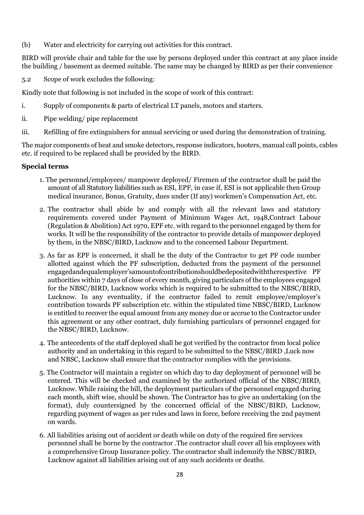(b) Water and electricity for carrying out activities for this contract.

BIRD will provide chair and table for the use by persons deployed under this contract at any place inside the building / basement as deemed suitable. The same may be changed by BIRD as per their convenience

5.2 Scope of work excludes the following:

Kindly note that following is not included in the scope of work of this contract:

- i. Supply of components & parts of electrical LT panels, motors and starters.
- ii. Pipe welding/ pipe replacement
- iii. Refilling of fire extinguishers for annual servicing or used during the demonstration of training.

The major components of heat and smoke detectors, response indicators, hooters, manual call points, cables etc. if required to be replaced shall be provided by the BIRD.

#### **Special terms**

- 1. The personnel/employees/ manpower deployed/ Firemen of the contractor shall be paid the amount of all Statutory liabilities such as ESI, EPF, in case if, ESI is not applicable then Group medical insurance, Bonus, Gratuity, dues under (If any) workmen's Compensation Act, etc.
- 2. The contractor shall abide by and comply with all the relevant laws and statutory requirements covered under Payment of Minimum Wages Act, 1948,Contract Labour (Regulation & Abolition) Act 1970, EPF etc. with regard to the personnel engaged by them for works. It will be the responsibility of the contractor to provide details of manpower deployed by them, in the NBSC/BIRD, Lucknow and to the concerned Labour Department.
- 3. As far as EPF is concerned, it shall be the duty of the Contractor to get PF code number allotted against which the PF subscription, deducted from the payment of the personnel engagedandequalemployer'samountofcontributionshouldbedepositedwiththerespective PF authorities within 7 days of close of every month, giving particulars of the employees engaged for the NBSC/BIRD, Lucknow works which is required to be submitted to the NBSC/BIRD, Lucknow. In any eventuality, if the contractor failed to remit employee/employer's contribution towards PF subscription etc. within the stipulated time NBSC/BIRD, Lucknow is entitled to recover the equal amount from any money due or accrue to the Contractor under this agreement or any other contract, duly furnishing particulars of personnel engaged for the NBSC/BIRD, Lucknow.
- 4. The antecedents of the staff deployed shall be got verified by the contractor from local police authority and an undertaking in this regard to be submitted to the NBSC/BIRD ,Luck now and NBSC, Lucknow shall ensure that the contractor complies with the provisions.
- 5. The Contractor will maintain a register on which day to day deployment of personnel will be entered. This will be checked and examined by the authorized official of the NBSC/BIRD, Lucknow. While raising the bill, the deployment particulars of the personnel engaged during each month, shift wise, should be shown. The Contractor has to give an undertaking (on the format), duly countersigned by the concerned official of the NBSC/BIRD, Lucknow, regarding payment of wages as per rules and laws in force, before receiving the 2nd payment on wards.
- 6. All liabilities arising out of accident or death while on duty of the required fire services personnel shall be borne by the contractor .The contractor shall cover all his employees with a comprehensive Group Insurance policy. The contractor shall indemnify the NBSC/BIRD, Lucknow against all liabilities arising out of any such accidents or deaths.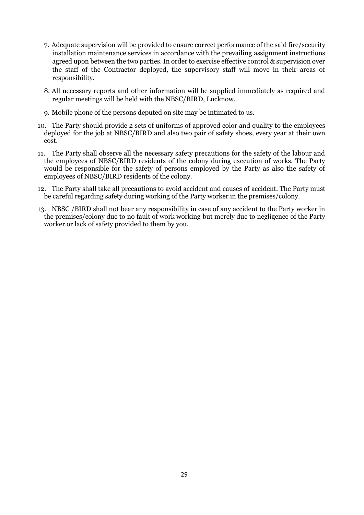- 7. Adequate supervision will be provided to ensure correct performance of the said fire/security installation maintenance services in accordance with the prevailing assignment instructions agreed upon between the two parties. In order to exercise effective control & supervision over the staff of the Contractor deployed, the supervisory staff will move in their areas of responsibility.
- 8. All necessary reports and other information will be supplied immediately as required and regular meetings will be held with the NBSC/BIRD, Lucknow.
- 9. Mobile phone of the persons deputed on site may be intimated to us.
- 10. The Party should provide 2 sets of uniforms of approved color and quality to the employees deployed for the job at NBSC/BIRD and also two pair of safety shoes, every year at their own cost.
- 11. The Party shall observe all the necessary safety precautions for the safety of the labour and the employees of NBSC/BIRD residents of the colony during execution of works. The Party would be responsible for the safety of persons employed by the Party as also the safety of employees of NBSC/BIRD residents of the colony.
- 12. The Party shall take all precautions to avoid accident and causes of accident. The Party must be careful regarding safety during working of the Party worker in the premises/colony.
- 13. NBSC /BIRD shall not bear any responsibility in case of any accident to the Party worker in the premises/colony due to no fault of work working but merely due to negligence of the Party worker or lack of safety provided to them by you.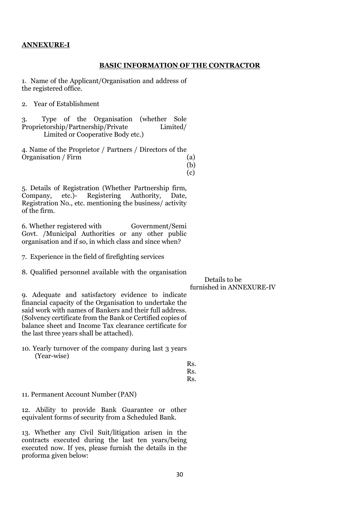#### **ANNEXURE-I**

#### **BASIC INFORMATION OF THE CONTRACTOR**

1. Name of the Applicant/Organisation and address of the registered office.

2. Year of Establishment

3. Type of the Organisation (whether Sole Proprietorship/Partnership/Private Limited/ Limited or Cooperative Body etc.)

4. Name of the Proprietor / Partners / Directors of the Organisation / Firm (a)

(b) (c)

5. Details of Registration (Whether Partnership firm, Company, etc.)- Registering Authority, Date, Registration No., etc. mentioning the business/ activity of the firm.

6. Whether registered with Government/Semi Govt. /Municipal Authorities or any other public organisation and if so, in which class and since when?

7. Experience in the field of firefighting services

8. Qualified personnel available with the organisation

 Details to be furnished in ANNEXURE-IV

9. Adequate and satisfactory evidence to indicate financial capacity of the Organisation to undertake the said work with names of Bankers and their full address. (Solvency certificate from the Bank or Certified copies of balance sheet and Income Tax clearance certificate for the last three years shall be attached).

10. Yearly turnover of the company during last 3 years (Year-wise)

> Rs. Rs. Rs.

11. Permanent Account Number (PAN)

12. Ability to provide Bank Guarantee or other equivalent forms of security from a Scheduled Bank.

13. Whether any Civil Suit/litigation arisen in the contracts executed during the last ten years/being executed now. If yes, please furnish the details in the proforma given below: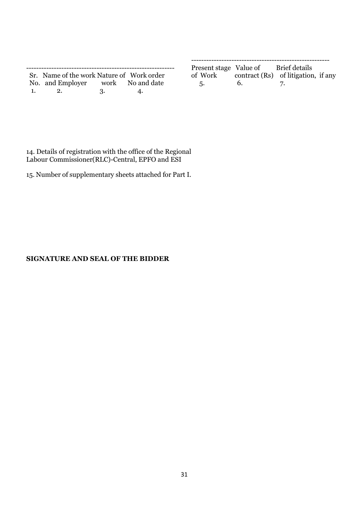|              | Sr. Name of the work Nature of Work order |     |    |
|--------------|-------------------------------------------|-----|----|
|              | No. and Employer work No and date         |     |    |
| $\mathbf{1}$ | - 2.                                      | -3. | 4. |

| Present stage Value of Brief details |                                             |  |
|--------------------------------------|---------------------------------------------|--|
|                                      | of Work contract (Rs) of litigation, if any |  |

5. 6. 7.

14. Details of registration with the office of the Regional Labour Commissioner(RLC)-Central, EPFO and ESI

15. Number of supplementary sheets attached for Part I.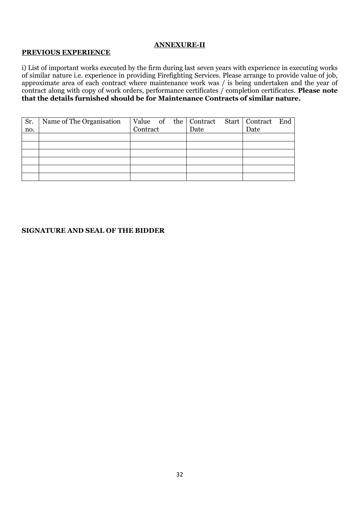#### **ANNEXURE-II**

#### **PREVIOUS EXPERIENCE**

i) List of important works executed by the firm during last seven years with experience in executing works of similar nature i.e. experience in providing Firefighting Services. Please arrange to provide value of job, approximate area of each contract where maintenance work was / is being undertaken and the year of contract along with copy of work orders, performance certificates / completion certificates. **Please note that the details furnished should be for Maintenance Contracts of similar nature.**

| Sr. | Name of The Organisation | Value of the Contract |      | Start   Contract End |  |
|-----|--------------------------|-----------------------|------|----------------------|--|
| no. |                          | Contract              | Date | Date                 |  |
|     |                          |                       |      |                      |  |
|     |                          |                       |      |                      |  |
|     |                          |                       |      |                      |  |
|     |                          |                       |      |                      |  |
|     |                          |                       |      |                      |  |
|     |                          |                       |      |                      |  |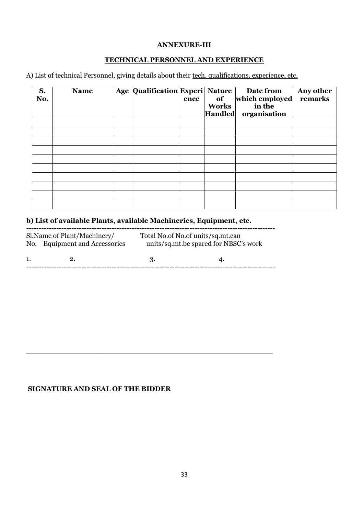#### **ANNEXURE-III**

#### **TECHNICAL PERSONNEL AND EXPERIENCE**

A) List of technical Personnel, giving details about their tech. qualifications, experience, etc.

| S.<br>No. | <b>Name</b> | Age Qualification Experi Nature | ence | of<br><b>Works</b><br><b>Handled</b> | Date from<br>which employed<br>in the<br>organisation | Any other<br>remarks |
|-----------|-------------|---------------------------------|------|--------------------------------------|-------------------------------------------------------|----------------------|
|           |             |                                 |      |                                      |                                                       |                      |
|           |             |                                 |      |                                      |                                                       |                      |
|           |             |                                 |      |                                      |                                                       |                      |
|           |             |                                 |      |                                      |                                                       |                      |
|           |             |                                 |      |                                      |                                                       |                      |
|           |             |                                 |      |                                      |                                                       |                      |
|           |             |                                 |      |                                      |                                                       |                      |
|           |             |                                 |      |                                      |                                                       |                      |
|           |             |                                 |      |                                      |                                                       |                      |
|           |             |                                 |      |                                      |                                                       |                      |

# **b) List of available Plants, available Machineries, Equipment, etc.**

|    | Sl.Name of Plant/Machinery/<br>No. Equipment and Accessories | Total No.of No.of units/sq.mt.can | units/sq.mt.be spared for NBSC's work |
|----|--------------------------------------------------------------|-----------------------------------|---------------------------------------|
| 1. |                                                              |                                   |                                       |

\_\_\_\_\_\_\_\_\_\_\_\_\_\_\_\_\_\_\_\_\_\_\_\_\_\_\_\_\_\_\_\_\_\_\_\_\_\_\_\_\_\_\_\_\_\_\_\_\_\_\_\_\_\_\_\_\_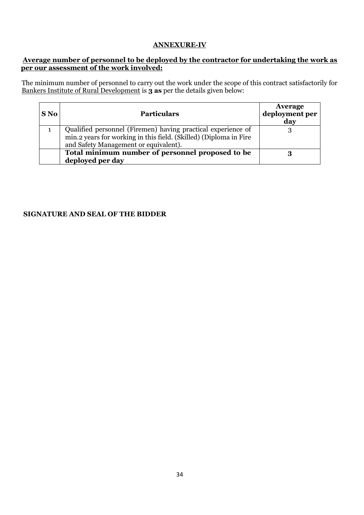#### **ANNEXURE-IV**

#### **Average number of personnel to be deployed by the contractor for undertaking the work as per our assessment of the work involved:**

The minimum number of personnel to carry out the work under the scope of this contract satisfactorily for Bankers Institute of Rural Development is **3 as** per the details given below:

| S No | <b>Particulars</b>                                                | <b>Average</b><br>deployment per<br>day |
|------|-------------------------------------------------------------------|-----------------------------------------|
| 1    | Qualified personnel (Firemen) having practical experience of      |                                         |
|      | min.2 years for working in this field. (Skilled) (Diploma in Fire |                                         |
|      | and Safety Management or equivalent).                             |                                         |
|      | Total minimum number of personnel proposed to be                  |                                         |
|      | deployed per day                                                  |                                         |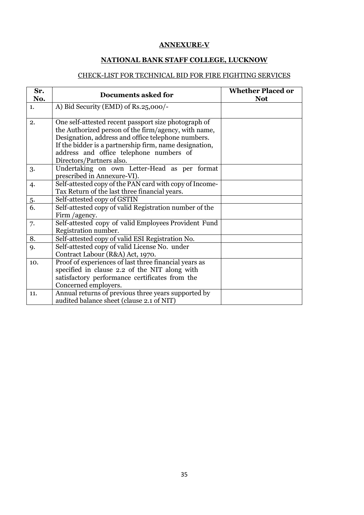#### **ANNEXURE-V**

# **NATIONAL BANK STAFF COLLEGE, LUCKNOW**

# CHECK-LIST FOR TECHNICAL BID FOR FIRE FIGHTING SERVICES

| Sr.<br>No.     | <b>Documents asked for</b>                                                                                                                                                                                                                                                                          | <b>Whether Placed or</b><br><b>Not</b> |
|----------------|-----------------------------------------------------------------------------------------------------------------------------------------------------------------------------------------------------------------------------------------------------------------------------------------------------|----------------------------------------|
| $\mathbf{1}$ . | A) Bid Security (EMD) of Rs.25,000/-                                                                                                                                                                                                                                                                |                                        |
| 2.             | One self-attested recent passport size photograph of<br>the Authorized person of the firm/agency, with name,<br>Designation, address and office telephone numbers.<br>If the bidder is a partnership firm, name designation,<br>address and office telephone numbers of<br>Directors/Partners also. |                                        |
| 3.             | Undertaking on own Letter-Head as per format<br>prescribed in Annexure-VI).                                                                                                                                                                                                                         |                                        |
| 4.             | Self-attested copy of the PAN card with copy of Income-<br>Tax Return of the last three financial years.                                                                                                                                                                                            |                                        |
| $\frac{5}{6}$  | Self-attested copy of GSTIN                                                                                                                                                                                                                                                                         |                                        |
|                | Self-attested copy of valid Registration number of the<br>Firm /agency.                                                                                                                                                                                                                             |                                        |
| 7.             | Self-attested copy of valid Employees Provident Fund<br>Registration number.                                                                                                                                                                                                                        |                                        |
| 8.             | Self-attested copy of valid ESI Registration No.                                                                                                                                                                                                                                                    |                                        |
| 9.             | Self-attested copy of valid License No. under<br>Contract Labour (R&A) Act, 1970.                                                                                                                                                                                                                   |                                        |
| 10.            | Proof of experiences of last three financial years as<br>specified in clause 2.2 of the NIT along with<br>satisfactory performance certificates from the<br>Concerned employers.                                                                                                                    |                                        |
| 11.            | Annual returns of previous three years supported by<br>audited balance sheet (clause 2.1 of NIT)                                                                                                                                                                                                    |                                        |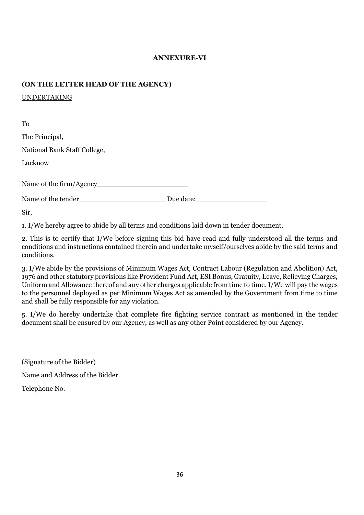## **ANNEXURE-VI**

#### **(ON THE LETTER HEAD OF THE AGENCY)**

UNDERTAKING

To The Principal, National Bank Staff College, Lucknow Name of the firm/Agency\_\_\_\_\_\_\_\_\_\_\_\_\_\_\_\_\_\_\_\_\_ Name of the tender and Due date:

Sir,

1. I/We hereby agree to abide by all terms and conditions laid down in tender document.

2. This is to certify that I/We before signing this bid have read and fully understood all the terms and conditions and instructions contained therein and undertake myself/ourselves abide by the said terms and conditions.

3. I/We abide by the provisions of Minimum Wages Act, Contract Labour (Regulation and Abolition) Act, 1976 and other statutory provisions like Provident Fund Act, ESI Bonus, Gratuity, Leave, Relieving Charges, Uniform and Allowance thereof and any other charges applicable from time to time. I/We will pay the wages to the personnel deployed as per Minimum Wages Act as amended by the Government from time to time and shall be fully responsible for any violation.

5. I/We do hereby undertake that complete fire fighting service contract as mentioned in the tender document shall be ensured by our Agency, as well as any other Point considered by our Agency.

(Signature of the Bidder) Name and Address of the Bidder. Telephone No.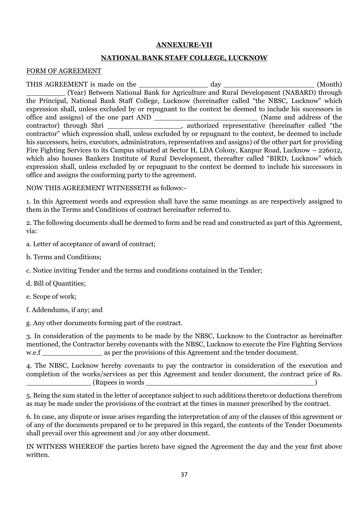#### **ANNEXURE-VII**

#### **NATIONAL BANK STAFF COLLEGE, LUCKNOW**

#### FORM OF AGREEMENT

THIS AGREEMENT is made on the \_\_\_\_\_\_\_\_\_\_\_\_\_\_\_\_ day \_\_\_\_\_\_\_\_\_\_\_\_\_\_\_\_\_\_\_\_\_ (Month) (Year) Between National Bank for Agriculture and Rural Development (NABARD) through the Principal, National Bank Staff College, Lucknow (hereinafter called "the NBSC, Lucknow" which expression shall, unless excluded by or repugnant to the context be deemed to include his successors in office and assigns) of the one part AND \_\_\_\_\_\_\_\_\_\_\_\_\_\_\_\_\_\_\_\_\_\_\_\_ (Name and address of the contractor) through Shri such authorized representative (hereinafter called "the contractor" which expression shall, unless excluded by or repugnant to the context, be deemed to include his successors, heirs, executors, administrators, representatives and assigns) of the other part for providing Fire Fighting Services to its Campus situated at Sector H, LDA Colony, Kanpur Road, Lucknow – 226012, which also houses Bankers Institute of Rural Development, thereafter called "BIRD, Lucknow" which expression shall, unless excluded by or repugnant to the context be deemed to include his successors in office and assigns the conforming party to the agreement.

NOW THIS AGREEMENT WITNESSETH as follows:-

1. In this Agreement words and expression shall have the same meanings as are respectively assigned to them in the Terms and Conditions of contract hereinafter referred to.

2. The following documents shall be deemed to form and be read and constructed as part of this Agreement, via:

- a. Letter of acceptance of award of contract;
- b. Terms and Conditions;
- c. Notice inviting Tender and the terms and conditions contained in the Tender;
- d. Bill of Quantities;
- e. Scope of work;
- f. Addendums, if any; and
- g. Any other documents forming part of the contract.

3. In consideration of the payments to be made by the NBSC, Lucknow to the Contractor as hereinafter mentioned, the Contractor hereby covenants with the NBSC, Lucknow to execute the Fire Fighting Services w.e.f as per the provisions of this Agreement and the tender document.

4. The NBSC, Lucknow hereby covenants to pay the contractor in consideration of the execution and completion of the works/services as per this Agreement and tender document, the contract price of Rs.  $(Rupees in words)$ 

5. Being the sum stated in the letter of acceptance subject to such additions thereto or deductions therefrom as may be made under the provisions of the contract at the times in manner prescribed by the contract.

6. In case, any dispute or issue arises regarding the interpretation of any of the clauses of this agreement or of any of the documents prepared or to be prepared in this regard, the contents of the Tender Documents shall prevail over this agreement and /or any other document.

IN WITNESS WHEREOF the parties hereto have signed the Agreement the day and the year first above written.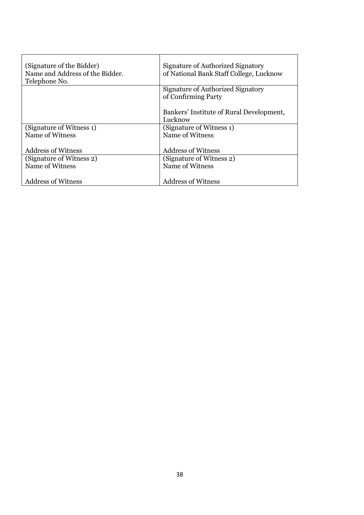| (Signature of the Bidder)<br>Name and Address of the Bidder.<br>Telephone No. | Signature of Authorized Signatory<br>of National Bank Staff College, Lucknow |
|-------------------------------------------------------------------------------|------------------------------------------------------------------------------|
|                                                                               | Signature of Authorized Signatory<br>of Confirming Party                     |
|                                                                               | Bankers' Institute of Rural Development,<br>Lucknow                          |
| (Signature of Witness 1)                                                      | (Signature of Witness 1)                                                     |
| Name of Witness                                                               | Name of Witness                                                              |
|                                                                               |                                                                              |
| <b>Address of Witness</b>                                                     | <b>Address of Witness</b>                                                    |
| (Signature of Witness 2)                                                      | (Signature of Witness 2)                                                     |
| Name of Witness                                                               | Name of Witness                                                              |
|                                                                               |                                                                              |
| <b>Address of Witness</b>                                                     | <b>Address of Witness</b>                                                    |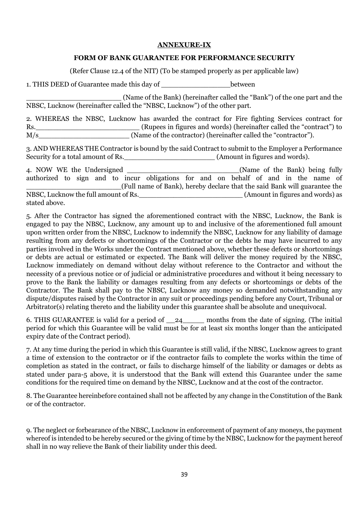#### **ANNEXURE-IX**

#### **FORM OF BANK GUARANTEE FOR PERFORMANCE SECURITY**

(Refer Clause 12.4 of the NIT) (To be stamped properly as per applicable law)

1. THIS DEED of Guarantee made this day of The Letter between

\_\_\_\_\_\_\_\_\_\_\_\_\_\_\_\_\_\_\_\_\_\_ (Name of the Bank) (hereinafter called the "Bank") of the one part and the NBSC, Lucknow (hereinafter called the "NBSC, Lucknow") of the other part.

2. WHEREAS the NBSC, Lucknow has awarded the contract for Fire fighting Services contract for Rs.\_\_\_\_\_\_\_\_\_\_\_\_\_\_\_\_\_\_\_\_\_\_\_\_ (Rupees in figures and words) (hereinafter called the "contract") to M/s (Name of the contractor) (hereinafter called the "contractor").

3. AND WHEREAS THE Contractor is bound by the said Contract to submit to the Employer a Performance Security for a total amount of Rs. \_\_\_\_\_\_\_\_\_\_\_\_\_\_\_\_\_\_\_\_\_\_\_\_\_\_\_\_\_\_\_\_\_(Amount in figures and words).

| 4. NOW WE the Undersigned            |  |  |                                                                                     |  |  |  |  | (Name of the Bank) being fully   |  |
|--------------------------------------|--|--|-------------------------------------------------------------------------------------|--|--|--|--|----------------------------------|--|
|                                      |  |  | authorized to sign and to incur obligations for and on behalf of and in the name of |  |  |  |  |                                  |  |
|                                      |  |  | (Full name of Bank), hereby declare that the said Bank will guarantee the           |  |  |  |  |                                  |  |
| NBSC, Lucknow the full amount of Rs. |  |  |                                                                                     |  |  |  |  | (Amount in figures and words) as |  |
| stated above.                        |  |  |                                                                                     |  |  |  |  |                                  |  |

5. After the Contractor has signed the aforementioned contract with the NBSC, Lucknow, the Bank is engaged to pay the NBSC, Lucknow, any amount up to and inclusive of the aforementioned full amount upon written order from the NBSC, Lucknow to indemnify the NBSC, Lucknow for any liability of damage resulting from any defects or shortcomings of the Contractor or the debts he may have incurred to any parties involved in the Works under the Contract mentioned above, whether these defects or shortcomings or debts are actual or estimated or expected. The Bank will deliver the money required by the NBSC, Lucknow immediately on demand without delay without reference to the Contractor and without the necessity of a previous notice or of judicial or administrative procedures and without it being necessary to prove to the Bank the liability or damages resulting from any defects or shortcomings or debts of the Contractor. The Bank shall pay to the NBSC, Lucknow any money so demanded notwithstanding any dispute/disputes raised by the Contractor in any suit or proceedings pending before any Court, Tribunal or Arbitrator(s) relating thereto and the liability under this guarantee shall be absolute and unequivocal.

6. THIS GUARANTEE is valid for a period of \_\_24\_\_\_\_\_ months from the date of signing. (The initial period for which this Guarantee will be valid must be for at least six months longer than the anticipated expiry date of the Contract period).

7. At any time during the period in which this Guarantee is still valid, if the NBSC, Lucknow agrees to grant a time of extension to the contractor or if the contractor fails to complete the works within the time of completion as stated in the contract, or fails to discharge himself of the liability or damages or debts as stated under para-5 above, it is understood that the Bank will extend this Guarantee under the same conditions for the required time on demand by the NBSC, Lucknow and at the cost of the contractor.

8. The Guarantee hereinbefore contained shall not be affected by any change in the Constitution of the Bank or of the contractor.

9. The neglect or forbearance of the NBSC, Lucknow in enforcement of payment of any moneys, the payment whereof is intended to be hereby secured or the giving of time by the NBSC, Lucknow for the payment hereof shall in no way relieve the Bank of their liability under this deed.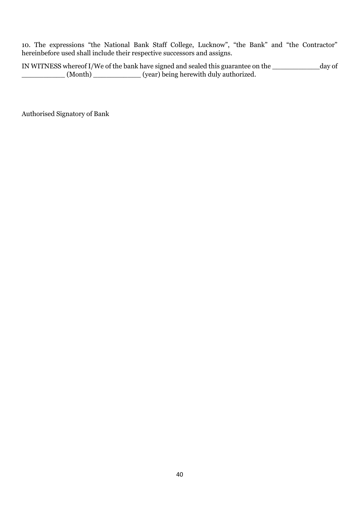10. The expressions "the National Bank Staff College, Lucknow", "the Bank" and "the Contractor" hereinbefore used shall include their respective successors and assigns.

IN WITNESS whereof I/We of the bank have signed and sealed this guarantee on the \_\_\_\_\_\_\_\_\_\_\_day of \_\_\_\_\_\_\_\_\_\_ (Month) \_\_\_\_\_\_\_\_\_\_\_ (year) being herewith duly authorized.

Authorised Signatory of Bank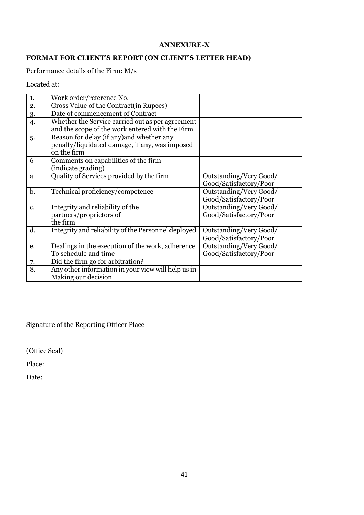# **ANNEXURE-X**

# **FORMAT FOR CLIENT'S REPORT (ON CLIENT'S LETTER HEAD)**

Performance details of the Firm: M/s

Located at:

| 1. | Work order/reference No.                            |                        |
|----|-----------------------------------------------------|------------------------|
| 2. | Gross Value of the Contract (in Rupees)             |                        |
| 3. | Date of commencement of Contract                    |                        |
| 4. | Whether the Service carried out as per agreement    |                        |
|    | and the scope of the work entered with the Firm     |                        |
| 5. | Reason for delay (if any) and whether any           |                        |
|    | penalty/liquidated damage, if any, was imposed      |                        |
|    | on the firm                                         |                        |
| 6  | Comments on capabilities of the firm                |                        |
|    | (indicate grading)                                  |                        |
| a. | Quality of Services provided by the firm            | Outstanding/Very Good/ |
|    |                                                     | Good/Satisfactory/Poor |
| b. | Technical proficiency/competence                    | Outstanding/Very Good/ |
|    |                                                     | Good/Satisfactory/Poor |
| c. | Integrity and reliability of the                    | Outstanding/Very Good/ |
|    | partners/proprietors of                             | Good/Satisfactory/Poor |
|    | the firm                                            |                        |
| d. | Integrity and reliability of the Personnel deployed | Outstanding/Very Good/ |
|    |                                                     | Good/Satisfactory/Poor |
| e. | Dealings in the execution of the work, adherence    | Outstanding/Very Good/ |
|    | To schedule and time                                | Good/Satisfactory/Poor |
| 7. | Did the firm go for arbitration?                    |                        |
| 8. | Any other information in your view will help us in  |                        |
|    | Making our decision.                                |                        |

Signature of the Reporting Officer Place

(Office Seal)

Place:

Date: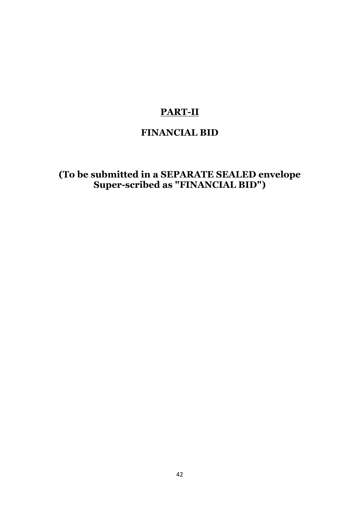# **PART-II**

# **FINANCIAL BID**

**(To be submitted in a SEPARATE SEALED envelope Super-scribed as "FINANCIAL BID")**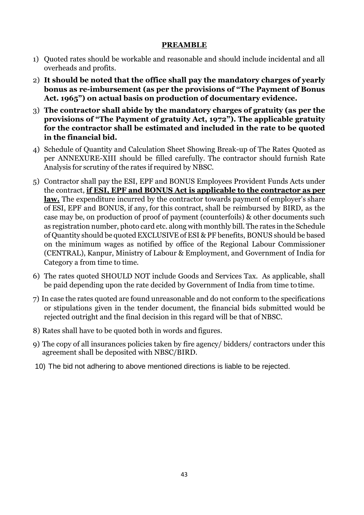## **PREAMBLE**

- 1) Quoted rates should be workable and reasonable and should include incidental and all overheads and profits.
- 2) **It should be noted that the office shall pay the mandatory charges of yearly bonus as re-imbursement (as per the provisions of "The Payment of Bonus Act. 1965") on actual basis on production of documentary evidence.**
- 3) **The contractor shall abide by the mandatory charges of gratuity (as per the provisions of "The Payment of gratuity Act, 1972"). The applicable gratuity for the contractor shall be estimated and included in the rate to be quoted in the financial bid.**
- 4) Schedule of Quantity and Calculation Sheet Showing Break-up of The Rates Quoted as per ANNEXURE-XIII should be filled carefully. The contractor should furnish Rate Analysis for scrutiny of the rates if required by NBSC.
- 5) Contractor shall pay the ESI, EPF and BONUS Employees Provident Funds Acts under the contract, **if ESI, EPF and BONUS Act is applicable to the contractor as per law.** The expenditure incurred by the contractor towards payment of employer's share of ESI, EPF and BONUS, if any, for this contract, shall be reimbursed by BIRD, as the case may be, on production of proof of payment (counterfoils) & other documents such as registration number, photo card etc. along with monthly bill. The rates in the Schedule of Quantity should be quoted EXCLUSIVE of ESI & PF benefits, BONUS should be based on the minimum wages as notified by office of the Regional Labour Commissioner (CENTRAL), Kanpur, Ministry of Labour & Employment, and Government of India for Category a from time to time.
- 6) The rates quoted SHOULD NOT include Goods and Services Tax. As applicable, shall be paid depending upon the rate decided by Government of India from time to time.
- 7) In case the rates quoted are found unreasonable and do not conform to the specifications or stipulations given in the tender document, the financial bids submitted would be rejected outright and the final decision in this regard will be that of NBSC.
- 8) Rates shall have to be quoted both in words and figures.
- 9) The copy of all insurances policies taken by fire agency/ bidders/ contractors under this agreement shall be deposited with NBSC/BIRD.
- 10) The bid not adhering to above mentioned directions is liable to be rejected.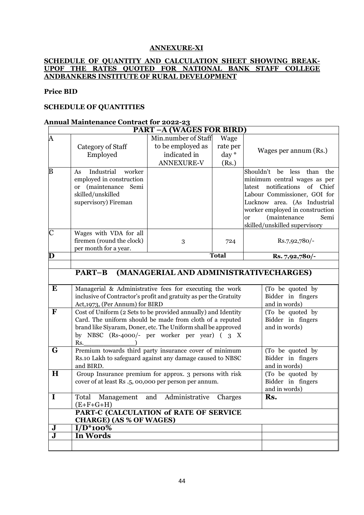#### **ANNEXURE-XI**

#### **SCHEDULE OF QUANTITY AND CALCULATION SHEET SHOWING BREAK-UPOF THE RATES QUOTED FOR NATIONAL BANK STAFF COLLEGE ANDBANKERS INSTITUTE OF RURAL DEVELOPMENT**

#### **Price BID**

#### **SCHEDULE OF QUANTITIES**

#### **Annual Maintenance Contract for 2022-23**

|                         | <b>PART-A (WAGES FOR BIRD)</b>                                                                                                                                                                                                                    |                                                                               |                                    |                                                                                                                                                                                                                                                                                               |  |  |  |  |
|-------------------------|---------------------------------------------------------------------------------------------------------------------------------------------------------------------------------------------------------------------------------------------------|-------------------------------------------------------------------------------|------------------------------------|-----------------------------------------------------------------------------------------------------------------------------------------------------------------------------------------------------------------------------------------------------------------------------------------------|--|--|--|--|
| A                       | Category of Staff<br>Employed                                                                                                                                                                                                                     | Min.number of Staff<br>to be employed as<br>indicated in<br><b>ANNEXURE-V</b> | Wage<br>rate per<br>day *<br>(Rs.) | Wages per annum (Rs.)                                                                                                                                                                                                                                                                         |  |  |  |  |
| B                       | Industrial<br>worker<br>As<br>employed in construction<br>(maintenance)<br>Semi<br><sub>or</sub><br>skilled/unskilled<br>supervisory) Fireman                                                                                                     |                                                                               |                                    | Shouldn't<br>be<br>less<br>than<br>the<br>minimum central wages as per<br>notifications<br>of<br>Chief<br>latest<br>Labour Commissioner, GOI for<br>Lucknow area. (As Industrial<br>worker employed in construction<br>(maintenance<br>Semi<br><sub>or</sub><br>skilled/unskilled supervisory |  |  |  |  |
| $\overline{C}$          | Wages with VDA for all<br>firemen (round the clock)<br>per month for a year.                                                                                                                                                                      | 3                                                                             | 724                                | Rs.7,92,780/-                                                                                                                                                                                                                                                                                 |  |  |  |  |
| D                       | <b>Total</b>                                                                                                                                                                                                                                      |                                                                               |                                    | Rs. 7,92,780/-                                                                                                                                                                                                                                                                                |  |  |  |  |
|                         |                                                                                                                                                                                                                                                   |                                                                               |                                    |                                                                                                                                                                                                                                                                                               |  |  |  |  |
|                         | (MANAGERIAL AND ADMINISTRATIVECHARGES)<br>PART-B                                                                                                                                                                                                  |                                                                               |                                    |                                                                                                                                                                                                                                                                                               |  |  |  |  |
| $\bf{E}$                | Managerial & Administrative fees for executing the work<br>inclusive of Contractor's profit and gratuity as per the Gratuity<br>Act, 1973, (Per Annum) for BIRD                                                                                   | (To be quoted by<br>Bidder in fingers<br>and in words)                        |                                    |                                                                                                                                                                                                                                                                                               |  |  |  |  |
| $\mathbf F$             | Cost of Uniform (2 Sets to be provided annually) and Identity<br>Card. The uniform should be made from cloth of a reputed<br>brand like Siyaram, Doner, etc. The Uniform shall be approved<br>by NBSC (Rs-4000/- per worker per year) (3 X<br>Rs. | (To be quoted by<br>Bidder in fingers<br>and in words)                        |                                    |                                                                                                                                                                                                                                                                                               |  |  |  |  |
| G                       | Premium towards third party insurance cover of minimum<br>Rs.10 Lakh to safeguard against any damage caused to NBSC<br>and BIRD.                                                                                                                  | (To be quoted by<br>Bidder in fingers<br>and in words)                        |                                    |                                                                                                                                                                                                                                                                                               |  |  |  |  |
| H                       | Group Insurance premium for approx. 3 persons with risk<br>cover of at least Rs .5, 00,000 per person per annum.                                                                                                                                  | (To be quoted by<br>Bidder in fingers<br>and in words)                        |                                    |                                                                                                                                                                                                                                                                                               |  |  |  |  |
| $\bf{I}$                | Total<br>and Administrative<br>Management<br>$(E+F+G+H)$                                                                                                                                                                                          | Rs.<br>Charges                                                                |                                    |                                                                                                                                                                                                                                                                                               |  |  |  |  |
|                         | PART-C (CALCULATION of RATE OF SERVICE<br><b>CHARGE) (AS % OF WAGES)</b>                                                                                                                                                                          |                                                                               |                                    |                                                                                                                                                                                                                                                                                               |  |  |  |  |
| J                       | $I/\overline{D^*100\%}$                                                                                                                                                                                                                           |                                                                               |                                    |                                                                                                                                                                                                                                                                                               |  |  |  |  |
| $\overline{\mathbf{J}}$ | In Words                                                                                                                                                                                                                                          |                                                                               |                                    |                                                                                                                                                                                                                                                                                               |  |  |  |  |
|                         |                                                                                                                                                                                                                                                   |                                                                               |                                    |                                                                                                                                                                                                                                                                                               |  |  |  |  |